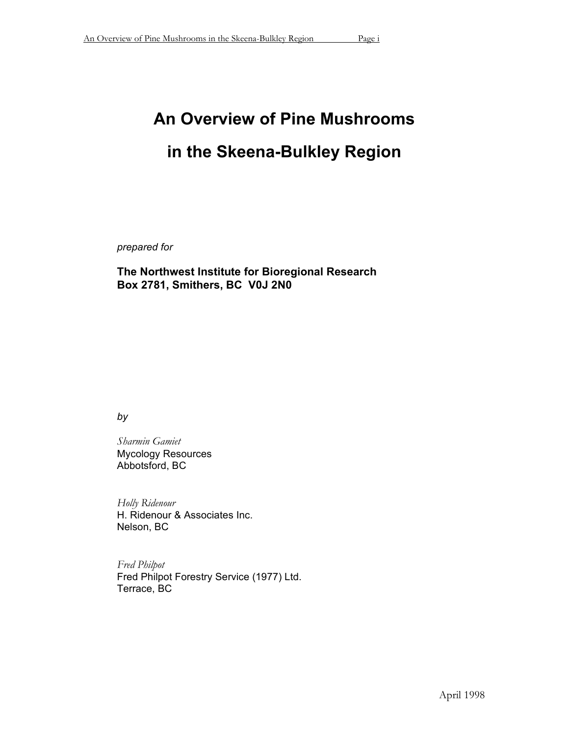# **An Overview of Pine Mushrooms in the Skeena-Bulkley Region**

*prepared for*

**The Northwest Institute for Bioregional Research Box 2781, Smithers, BC V0J 2N0**

*by*

*Sharmin Gamiet* Mycology Resources Abbotsford, BC

*Holly Ridenour* H. Ridenour & Associates Inc. Nelson, BC

*Fred Philpot* Fred Philpot Forestry Service (1977) Ltd. Terrace, BC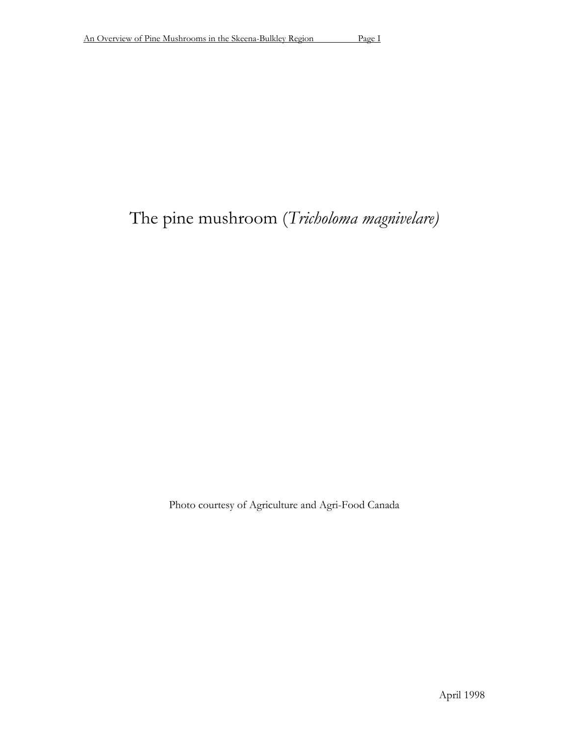# The pine mushroom (*Tricholoma magnivelare)*

Photo courtesy of Agriculture and Agri-Food Canada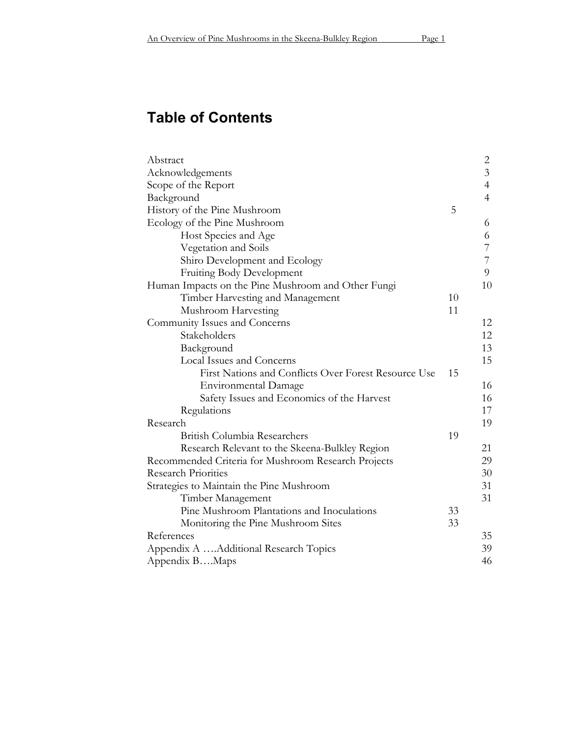# **Table of Contents**

| Abstract                                             |    | 2              |
|------------------------------------------------------|----|----------------|
| Acknowledgements                                     |    | $\overline{3}$ |
| Scope of the Report                                  |    | $\overline{4}$ |
| Background                                           |    | $\overline{4}$ |
| History of the Pine Mushroom                         | 5  |                |
| Ecology of the Pine Mushroom                         |    | 6              |
| Host Species and Age                                 |    | 6              |
| Vegetation and Soils                                 |    | 7              |
| Shiro Development and Ecology                        |    | $\overline{7}$ |
| Fruiting Body Development                            |    | 9              |
| Human Impacts on the Pine Mushroom and Other Fungi   |    | 10             |
| Timber Harvesting and Management                     | 10 |                |
| Mushroom Harvesting                                  | 11 |                |
| Community Issues and Concerns                        |    | 12             |
| Stakeholders                                         |    | 12             |
| Background                                           |    | 13             |
| Local Issues and Concerns                            |    | 15             |
| First Nations and Conflicts Over Forest Resource Use | 15 |                |
| <b>Environmental Damage</b>                          |    | 16             |
| Safety Issues and Economics of the Harvest           |    | 16             |
| Regulations                                          |    | 17             |
| Research                                             |    | 19             |
| British Columbia Researchers                         | 19 |                |
| Research Relevant to the Skeena-Bulkley Region       |    | 21             |
| Recommended Criteria for Mushroom Research Projects  |    | 29             |
| <b>Research Priorities</b>                           |    | 30             |
| Strategies to Maintain the Pine Mushroom             |    | 31             |
| Timber Management                                    |    | 31             |
| Pine Mushroom Plantations and Inoculations           | 33 |                |
| Monitoring the Pine Mushroom Sites                   | 33 |                |
| References                                           |    | 35             |
| Appendix A Additional Research Topics                |    | 39             |
| Appendix BMaps                                       |    | 46             |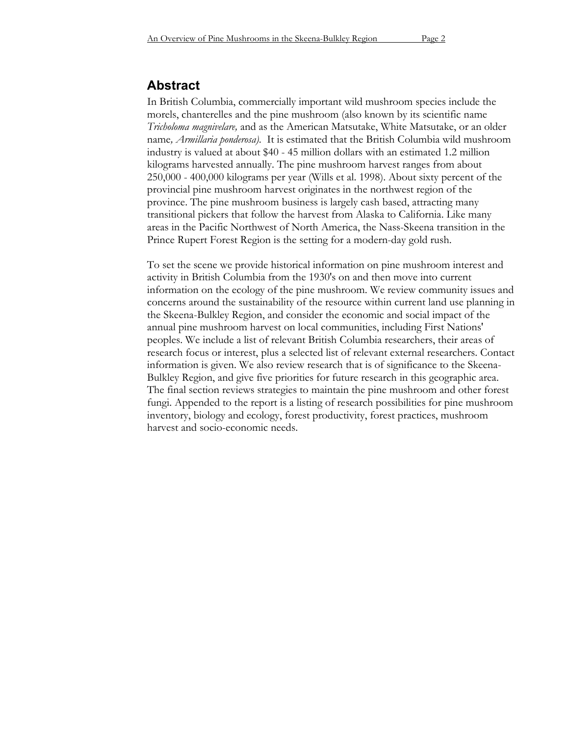# **Abstract**

In British Columbia, commercially important wild mushroom species include the morels, chanterelles and the pine mushroom (also known by its scientific name *Tricholoma magnivelare,* and as the American Matsutake, White Matsutake, or an older name*, Armillaria ponderosa)*. It is estimated that the British Columbia wild mushroom industry is valued at about \$40 - 45 million dollars with an estimated 1.2 million kilograms harvested annually. The pine mushroom harvest ranges from about 250,000 - 400,000 kilograms per year (Wills et al. 1998). About sixty percent of the provincial pine mushroom harvest originates in the northwest region of the province. The pine mushroom business is largely cash based, attracting many transitional pickers that follow the harvest from Alaska to California. Like many areas in the Pacific Northwest of North America, the Nass-Skeena transition in the Prince Rupert Forest Region is the setting for a modern-day gold rush.

To set the scene we provide historical information on pine mushroom interest and activity in British Columbia from the 1930's on and then move into current information on the ecology of the pine mushroom. We review community issues and concerns around the sustainability of the resource within current land use planning in the Skeena-Bulkley Region, and consider the economic and social impact of the annual pine mushroom harvest on local communities, including First Nations' peoples. We include a list of relevant British Columbia researchers, their areas of research focus or interest, plus a selected list of relevant external researchers. Contact information is given. We also review research that is of significance to the Skeena-Bulkley Region, and give five priorities for future research in this geographic area. The final section reviews strategies to maintain the pine mushroom and other forest fungi. Appended to the report is a listing of research possibilities for pine mushroom inventory, biology and ecology, forest productivity, forest practices, mushroom harvest and socio-economic needs.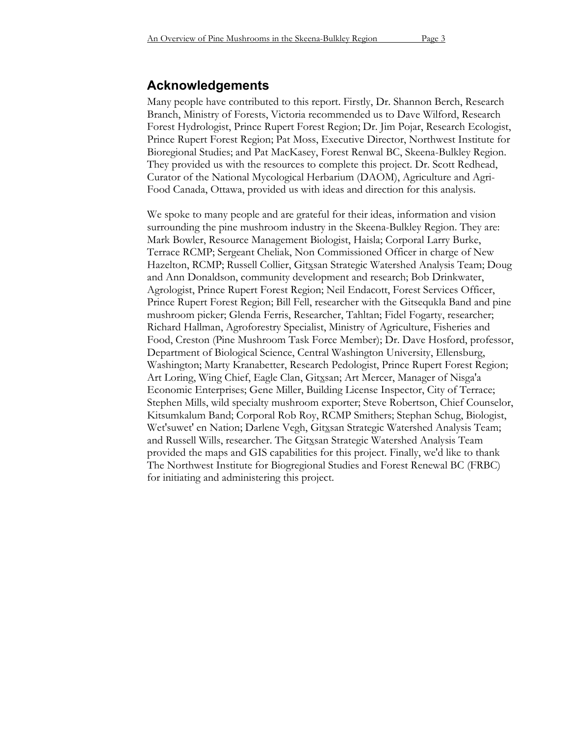# **Acknowledgements**

Many people have contributed to this report. Firstly, Dr. Shannon Berch, Research Branch, Ministry of Forests, Victoria recommended us to Dave Wilford, Research Forest Hydrologist, Prince Rupert Forest Region; Dr. Jim Pojar, Research Ecologist, Prince Rupert Forest Region; Pat Moss, Executive Director, Northwest Institute for Bioregional Studies; and Pat MacKasey, Forest Renwal BC, Skeena-Bulkley Region. They provided us with the resources to complete this project. Dr. Scott Redhead, Curator of the National Mycological Herbarium (DAOM), Agriculture and Agri-Food Canada, Ottawa, provided us with ideas and direction for this analysis.

We spoke to many people and are grateful for their ideas, information and vision surrounding the pine mushroom industry in the Skeena-Bulkley Region. They are: Mark Bowler, Resource Management Biologist, Haisla; Corporal Larry Burke, Terrace RCMP; Sergeant Cheliak, Non Commissioned Officer in charge of New Hazelton, RCMP; Russell Collier, Gitxsan Strategic Watershed Analysis Team; Doug and Ann Donaldson, community development and research; Bob Drinkwater, Agrologist, Prince Rupert Forest Region; Neil Endacott, Forest Services Officer, Prince Rupert Forest Region; Bill Fell, researcher with the Gitsequkla Band and pine mushroom picker; Glenda Ferris, Researcher, Tahltan; Fidel Fogarty, researcher; Richard Hallman, Agroforestry Specialist, Ministry of Agriculture, Fisheries and Food, Creston (Pine Mushroom Task Force Member); Dr. Dave Hosford, professor, Department of Biological Science, Central Washington University, Ellensburg, Washington; Marty Kranabetter, Research Pedologist, Prince Rupert Forest Region; Art Loring, Wing Chief, Eagle Clan, Gitxsan; Art Mercer, Manager of Nisga'a Economic Enterprises; Gene Miller, Building License Inspector, City of Terrace; Stephen Mills, wild specialty mushroom exporter; Steve Robertson, Chief Counselor, Kitsumkalum Band; Corporal Rob Roy, RCMP Smithers; Stephan Schug, Biologist, Wet'suwet' en Nation; Darlene Vegh, Gitxsan Strategic Watershed Analysis Team; and Russell Wills, researcher. The Gitxsan Strategic Watershed Analysis Team provided the maps and GIS capabilities for this project. Finally, we'd like to thank The Northwest Institute for Biogregional Studies and Forest Renewal BC (FRBC) for initiating and administering this project.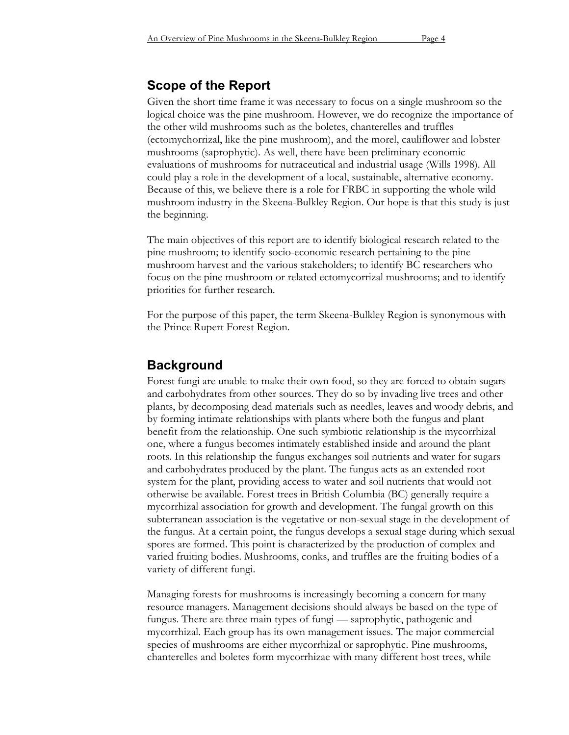# **Scope of the Report**

Given the short time frame it was necessary to focus on a single mushroom so the logical choice was the pine mushroom. However, we do recognize the importance of the other wild mushrooms such as the boletes, chanterelles and truffles (ectomychorrizal, like the pine mushroom), and the morel, cauliflower and lobster mushrooms (saprophytic). As well, there have been preliminary economic evaluations of mushrooms for nutraceutical and industrial usage (Wills 1998). All could play a role in the development of a local, sustainable, alternative economy. Because of this, we believe there is a role for FRBC in supporting the whole wild mushroom industry in the Skeena-Bulkley Region. Our hope is that this study is just the beginning.

The main objectives of this report are to identify biological research related to the pine mushroom; to identify socio-economic research pertaining to the pine mushroom harvest and the various stakeholders; to identify BC researchers who focus on the pine mushroom or related ectomycorrizal mushrooms; and to identify priorities for further research.

For the purpose of this paper, the term Skeena-Bulkley Region is synonymous with the Prince Rupert Forest Region.

## **Background**

Forest fungi are unable to make their own food, so they are forced to obtain sugars and carbohydrates from other sources. They do so by invading live trees and other plants, by decomposing dead materials such as needles, leaves and woody debris, and by forming intimate relationships with plants where both the fungus and plant benefit from the relationship. One such symbiotic relationship is the mycorrhizal one, where a fungus becomes intimately established inside and around the plant roots. In this relationship the fungus exchanges soil nutrients and water for sugars and carbohydrates produced by the plant. The fungus acts as an extended root system for the plant, providing access to water and soil nutrients that would not otherwise be available. Forest trees in British Columbia (BC) generally require a mycorrhizal association for growth and development. The fungal growth on this subterranean association is the vegetative or non-sexual stage in the development of the fungus. At a certain point, the fungus develops a sexual stage during which sexual spores are formed. This point is characterized by the production of complex and varied fruiting bodies. Mushrooms, conks, and truffles are the fruiting bodies of a variety of different fungi.

Managing forests for mushrooms is increasingly becoming a concern for many resource managers. Management decisions should always be based on the type of fungus. There are three main types of fungi — saprophytic, pathogenic and mycorrhizal. Each group has its own management issues. The major commercial species of mushrooms are either mycorrhizal or saprophytic. Pine mushrooms, chanterelles and boletes form mycorrhizae with many different host trees, while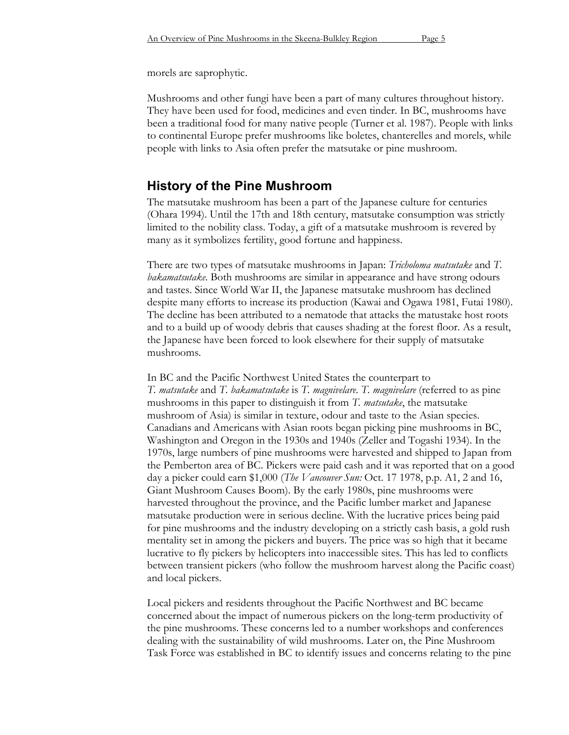morels are saprophytic.

Mushrooms and other fungi have been a part of many cultures throughout history. They have been used for food, medicines and even tinder. In BC, mushrooms have been a traditional food for many native people (Turner et al. 1987). People with links to continental Europe prefer mushrooms like boletes, chanterelles and morels, while people with links to Asia often prefer the matsutake or pine mushroom.

# **History of the Pine Mushroom**

The matsutake mushroom has been a part of the Japanese culture for centuries (Ohara 1994). Until the 17th and 18th century, matsutake consumption was strictly limited to the nobility class. Today, a gift of a matsutake mushroom is revered by many as it symbolizes fertility, good fortune and happiness.

There are two types of matsutake mushrooms in Japan: *Tricholoma matsutake* and *T. bakamatsutake*. Both mushrooms are similar in appearance and have strong odours and tastes. Since World War II, the Japanese matsutake mushroom has declined despite many efforts to increase its production (Kawai and Ogawa 1981, Futai 1980). The decline has been attributed to a nematode that attacks the matustake host roots and to a build up of woody debris that causes shading at the forest floor. As a result, the Japanese have been forced to look elsewhere for their supply of matsutake mushrooms.

In BC and the Pacific Northwest United States the counterpart to *T. matsutake* and *T. bakamatsutake* is *T. magnivelare*. *T. magnivelare* (referred to as pine mushrooms in this paper to distinguish it from *T. matsutake*, the matsutake mushroom of Asia) is similar in texture, odour and taste to the Asian species. Canadians and Americans with Asian roots began picking pine mushrooms in BC, Washington and Oregon in the 1930s and 1940s (Zeller and Togashi 1934). In the 1970s, large numbers of pine mushrooms were harvested and shipped to Japan from the Pemberton area of BC. Pickers were paid cash and it was reported that on a good day a picker could earn \$1,000 (*The Vancouver Sun:* Oct. 17 1978, p.p. A1, 2 and 16, Giant Mushroom Causes Boom). By the early 1980s, pine mushrooms were harvested throughout the province, and the Pacific lumber market and Japanese matsutake production were in serious decline. With the lucrative prices being paid for pine mushrooms and the industry developing on a strictly cash basis, a gold rush mentality set in among the pickers and buyers. The price was so high that it became lucrative to fly pickers by helicopters into inaccessible sites. This has led to conflicts between transient pickers (who follow the mushroom harvest along the Pacific coast) and local pickers.

Local pickers and residents throughout the Pacific Northwest and BC became concerned about the impact of numerous pickers on the long-term productivity of the pine mushrooms. These concerns led to a number workshops and conferences dealing with the sustainability of wild mushrooms. Later on, the Pine Mushroom Task Force was established in BC to identify issues and concerns relating to the pine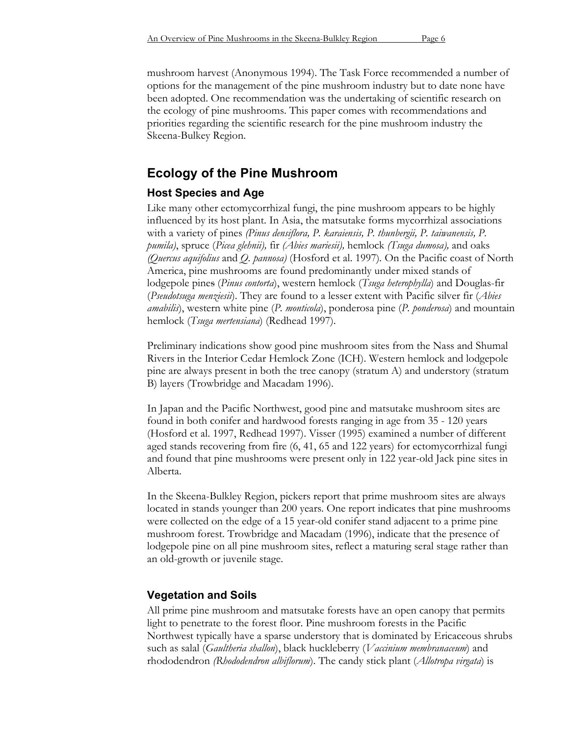mushroom harvest (Anonymous 1994). The Task Force recommended a number of options for the management of the pine mushroom industry but to date none have been adopted. One recommendation was the undertaking of scientific research on the ecology of pine mushrooms. This paper comes with recommendations and priorities regarding the scientific research for the pine mushroom industry the Skeena-Bulkey Region.

# **Ecology of the Pine Mushroom**

# **Host Species and Age**

Like many other ectomycorrhizal fungi, the pine mushroom appears to be highly influenced by its host plant. In Asia, the matsutake forms mycorrhizal associations with a variety of pines *(Pinus densiflora, P. karaiensis, P. thunbergii, P. taiwanensis, P. pumila)*, spruce (*Picea glehnii),* fir *(Abies mariesii),* hemlock *(Tsuga dumosa),* and oaks *(Quercus aquifolius* and *Q. pannosa)* (Hosford et al. 1997)*.* On the Pacific coast of North America, pine mushrooms are found predominantly under mixed stands of lodgepole pines (*Pinus contorta*), western hemlock (*Tsuga heterophylla*) and Douglas-fir (*Pseudotsuga menziesii*). They are found to a lesser extent with Pacific silver fir (*Abies amabilis*), western white pine (*P. monticola*), ponderosa pine (*P. ponderosa*) and mountain hemlock (*Tsuga mertensiana*) (Redhead 1997).

Preliminary indications show good pine mushroom sites from the Nass and Shumal Rivers in the Interior Cedar Hemlock Zone (ICH). Western hemlock and lodgepole pine are always present in both the tree canopy (stratum A) and understory (stratum B) layers (Trowbridge and Macadam 1996).

In Japan and the Pacific Northwest, good pine and matsutake mushroom sites are found in both conifer and hardwood forests ranging in age from 35 - 120 years (Hosford et al. 1997, Redhead 1997). Visser (1995) examined a number of different aged stands recovering from fire (6, 41, 65 and 122 years) for ectomycorrhizal fungi and found that pine mushrooms were present only in 122 year-old Jack pine sites in Alberta.

In the Skeena-Bulkley Region, pickers report that prime mushroom sites are always located in stands younger than 200 years. One report indicates that pine mushrooms were collected on the edge of a 15 year-old conifer stand adjacent to a prime pine mushroom forest. Trowbridge and Macadam (1996), indicate that the presence of lodgepole pine on all pine mushroom sites, reflect a maturing seral stage rather than an old-growth or juvenile stage.

# **Vegetation and Soils**

All prime pine mushroom and matsutake forests have an open canopy that permits light to penetrate to the forest floor. Pine mushroom forests in the Pacific Northwest typically have a sparse understory that is dominated by Ericaceous shrubs such as salal (*Gaultheria shallon*), black huckleberry (*Vaccinium membranaceum*) and rhododendron *(Rhododendron albiflorum*). The candy stick plant (*Allotropa virgata*) is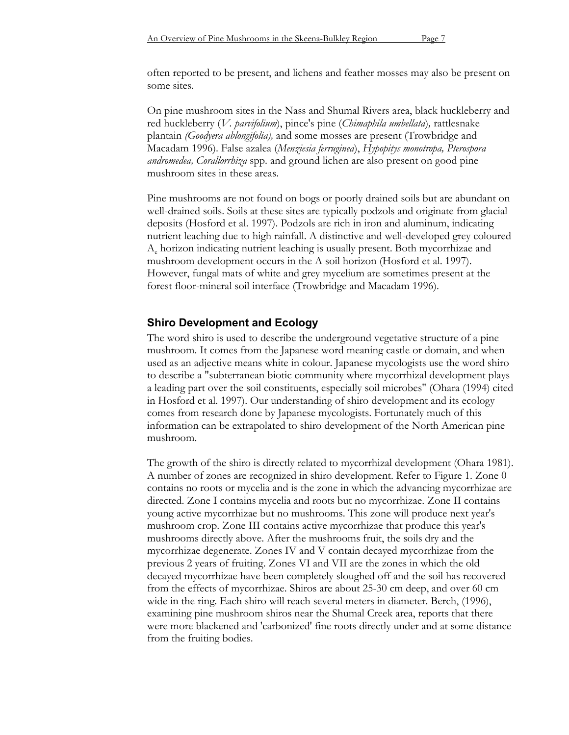often reported to be present, and lichens and feather mosses may also be present on some sites.

On pine mushroom sites in the Nass and Shumal Rivers area, black huckleberry and red huckleberry (*V. parvifolium*), pince's pine (*Chimaphila umbellata*)*,* rattlesnake plantain *(Goodyera ablongifolia),* and some mosses are present (Trowbridge and Macadam 1996). False azalea (*Menziesia ferruginea*), *Hypopitys monotropa, Pterospora andromedea, Corallorrhiza* spp. and ground lichen are also present on good pine mushroom sites in these areas.

Pine mushrooms are not found on bogs or poorly drained soils but are abundant on well-drained soils. Soils at these sites are typically podzols and originate from glacial deposits (Hosford et al. 1997). Podzols are rich in iron and aluminum, indicating nutrient leaching due to high rainfall. A distinctive and well-developed grey coloured Ae horizon indicating nutrient leaching is usually present. Both mycorrhizae and mushroom development occurs in the A soil horizon (Hosford et al. 1997). However, fungal mats of white and grey mycelium are sometimes present at the forest floor-mineral soil interface (Trowbridge and Macadam 1996).

## **Shiro Development and Ecology**

The word shiro is used to describe the underground vegetative structure of a pine mushroom. It comes from the Japanese word meaning castle or domain, and when used as an adjective means white in colour. Japanese mycologists use the word shiro to describe a "subterranean biotic community where mycorrhizal development plays a leading part over the soil constituents, especially soil microbes" (Ohara (1994) cited in Hosford et al. 1997). Our understanding of shiro development and its ecology comes from research done by Japanese mycologists. Fortunately much of this information can be extrapolated to shiro development of the North American pine mushroom.

The growth of the shiro is directly related to mycorrhizal development (Ohara 1981). A number of zones are recognized in shiro development. Refer to Figure 1. Zone 0 contains no roots or mycelia and is the zone in which the advancing mycorrhizae are directed. Zone I contains mycelia and roots but no mycorrhizae. Zone II contains young active mycorrhizae but no mushrooms. This zone will produce next year's mushroom crop. Zone III contains active mycorrhizae that produce this year's mushrooms directly above. After the mushrooms fruit, the soils dry and the mycorrhizae degenerate. Zones IV and V contain decayed mycorrhizae from the previous 2 years of fruiting. Zones VI and VII are the zones in which the old decayed mycorrhizae have been completely sloughed off and the soil has recovered from the effects of mycorrhizae. Shiros are about 25-30 cm deep, and over 60 cm wide in the ring. Each shiro will reach several meters in diameter. Berch, (1996), examining pine mushroom shiros near the Shumal Creek area, reports that there were more blackened and 'carbonized' fine roots directly under and at some distance from the fruiting bodies.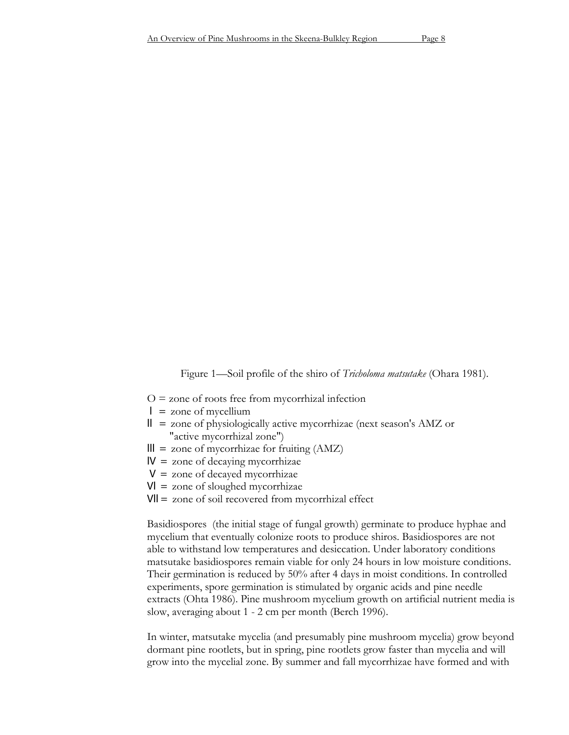Figure 1—Soil profile of the shiro of *Tricholoma matsutake* (Ohara 1981).

- $O =$  zone of roots free from mycorrhizal infection
- $\vert$  = zone of mycellium
- $\mathbb{I}$  = zone of physiologically active mycorrhizae (next season's AMZ or "active mycorrhizal zone")
- $III =$  zone of mycorrhizae for fruiting (AMZ)
- $IV =$  zone of decaying mycorrhizae
- $V =$  zone of decayed mycorrhizae
- $VI =$ zone of sloughed mycorrhizae
- Vll = zone of soil recovered from mycorrhizal effect

Basidiospores (the initial stage of fungal growth) germinate to produce hyphae and mycelium that eventually colonize roots to produce shiros. Basidiospores are not able to withstand low temperatures and desiccation. Under laboratory conditions matsutake basidiospores remain viable for only 24 hours in low moisture conditions. Their germination is reduced by 50% after 4 days in moist conditions. In controlled experiments, spore germination is stimulated by organic acids and pine needle extracts (Ohta 1986). Pine mushroom mycelium growth on artificial nutrient media is slow, averaging about 1 - 2 cm per month (Berch 1996).

In winter, matsutake mycelia (and presumably pine mushroom mycelia) grow beyond dormant pine rootlets, but in spring, pine rootlets grow faster than mycelia and will grow into the mycelial zone. By summer and fall mycorrhizae have formed and with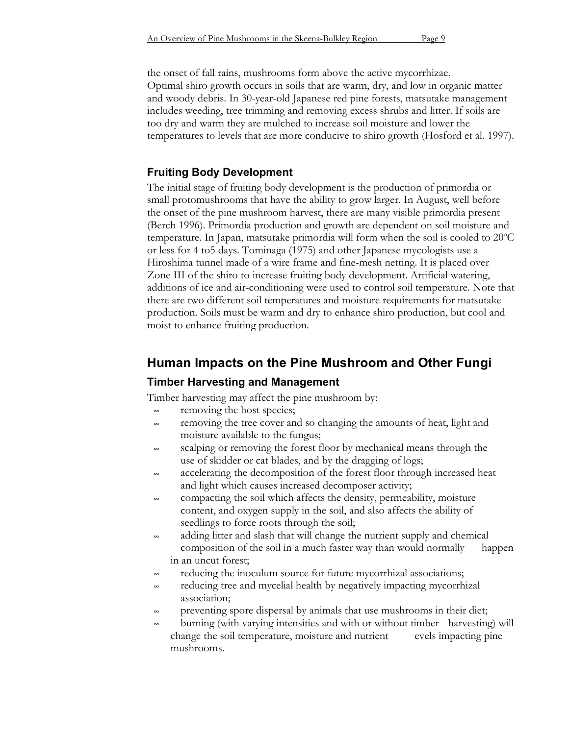# **Fruiting Body Development**

The initial stage of fruiting body development is the production of primordia or small protomushrooms that have the ability to grow larger. In August, well before the onset of the pine mushroom harvest, there are many visible primordia present (Berch 1996). Primordia production and growth are dependent on soil moisture and temperature. In Japan, matsutake primordia will form when the soil is cooled to 20°C or less for 4 to5 days. Tominaga (1975) and other Japanese mycologists use a Hiroshima tunnel made of a wire frame and fine-mesh netting. It is placed over Zone III of the shiro to increase fruiting body development. Artificial watering, additions of ice and air-conditioning were used to control soil temperature. Note that there are two different soil temperatures and moisture requirements for matsutake production. Soils must be warm and dry to enhance shiro production, but cool and moist to enhance fruiting production.

# **Human Impacts on the Pine Mushroom and Other Fungi**

# **Timber Harvesting and Management**

Timber harvesting may affect the pine mushroom by:

- $\approx$  removing the host species;
- removing the tree cover and so changing the amounts of heat, light and moisture available to the fungus;
- scalping or removing the forest floor by mechanical means through the use of skidder or cat blades, and by the dragging of logs;
- accelerating the decomposition of the forest floor through increased heat and light which causes increased decomposer activity;
- compacting the soil which affects the density, permeability, moisture content, and oxygen supply in the soil, and also affects the ability of seedlings to force roots through the soil;
- adding litter and slash that will change the nutrient supply and chemical composition of the soil in a much faster way than would normally happen in an uncut forest;
- reducing the inoculum source for future mycorrhizal associations;
- reducing tree and mycelial health by negatively impacting mycorrhizal association;
- preventing spore dispersal by animals that use mushrooms in their diet;
- burning (with varying intensities and with or without timber harvesting) will change the soil temperature, moisture and nutrient evels impacting pine mushrooms.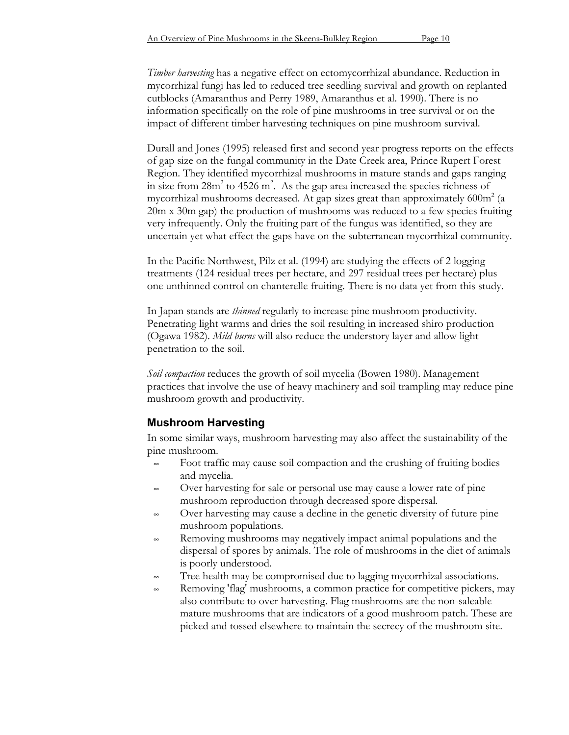*Timber harvesting* has a negative effect on ectomycorrhizal abundance. Reduction in mycorrhizal fungi has led to reduced tree seedling survival and growth on replanted cutblocks (Amaranthus and Perry 1989, Amaranthus et al. 1990). There is no information specifically on the role of pine mushrooms in tree survival or on the impact of different timber harvesting techniques on pine mushroom survival.

Durall and Jones (1995) released first and second year progress reports on the effects of gap size on the fungal community in the Date Creek area, Prince Rupert Forest Region. They identified mycorrhizal mushrooms in mature stands and gaps ranging in size from  $28m^2$  to  $4526 m^2$ . As the gap area increased the species richness of mycorrhizal mushrooms decreased. At gap sizes great than approximately  $600m^2$  (a 20m x 30m gap) the production of mushrooms was reduced to a few species fruiting very infrequently. Only the fruiting part of the fungus was identified, so they are uncertain yet what effect the gaps have on the subterranean mycorrhizal community.

In the Pacific Northwest, Pilz et al. (1994) are studying the effects of 2 logging treatments (124 residual trees per hectare, and 297 residual trees per hectare) plus one unthinned control on chanterelle fruiting. There is no data yet from this study.

In Japan stands are *thinned* regularly to increase pine mushroom productivity. Penetrating light warms and dries the soil resulting in increased shiro production (Ogawa 1982). *Mild burns* will also reduce the understory layer and allow light penetration to the soil.

*Soil compaction* reduces the growth of soil mycelia (Bowen 1980). Management practices that involve the use of heavy machinery and soil trampling may reduce pine mushroom growth and productivity.

# **Mushroom Harvesting**

In some similar ways, mushroom harvesting may also affect the sustainability of the pine mushroom.

- Foot traffic may cause soil compaction and the crushing of fruiting bodies and mycelia.
- Over harvesting for sale or personal use may cause a lower rate of pine mushroom reproduction through decreased spore dispersal.
- Over harvesting may cause a decline in the genetic diversity of future pine mushroom populations.
- Removing mushrooms may negatively impact animal populations and the dispersal of spores by animals. The role of mushrooms in the diet of animals is poorly understood.
- Tree health may be compromised due to lagging mycorrhizal associations.
- Removing 'flag' mushrooms, a common practice for competitive pickers, may also contribute to over harvesting. Flag mushrooms are the non-saleable mature mushrooms that are indicators of a good mushroom patch. These are picked and tossed elsewhere to maintain the secrecy of the mushroom site.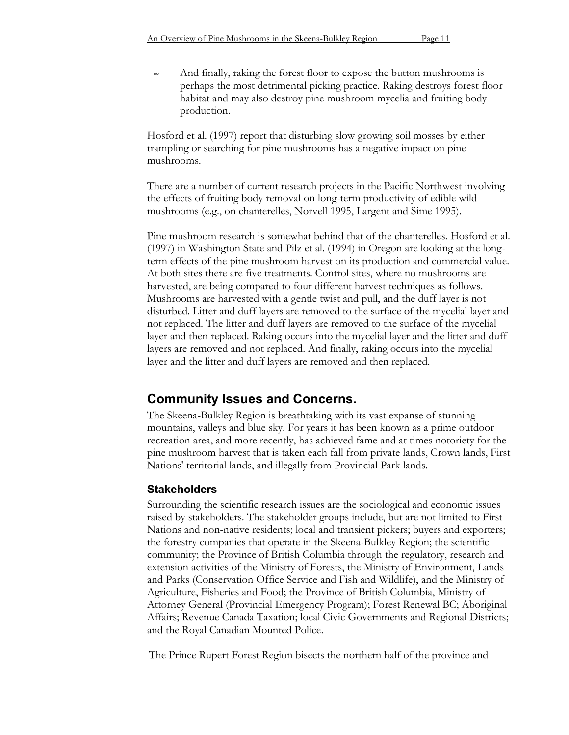$\sim$  And finally, raking the forest floor to expose the button mushrooms is perhaps the most detrimental picking practice. Raking destroys forest floor habitat and may also destroy pine mushroom mycelia and fruiting body production.

Hosford et al. (1997) report that disturbing slow growing soil mosses by either trampling or searching for pine mushrooms has a negative impact on pine mushrooms.

There are a number of current research projects in the Pacific Northwest involving the effects of fruiting body removal on long-term productivity of edible wild mushrooms (e.g., on chanterelles, Norvell 1995, Largent and Sime 1995).

Pine mushroom research is somewhat behind that of the chanterelles. Hosford et al. (1997) in Washington State and Pilz et al. (1994) in Oregon are looking at the longterm effects of the pine mushroom harvest on its production and commercial value. At both sites there are five treatments. Control sites, where no mushrooms are harvested, are being compared to four different harvest techniques as follows. Mushrooms are harvested with a gentle twist and pull, and the duff layer is not disturbed. Litter and duff layers are removed to the surface of the mycelial layer and not replaced. The litter and duff layers are removed to the surface of the mycelial layer and then replaced. Raking occurs into the mycelial layer and the litter and duff layers are removed and not replaced. And finally, raking occurs into the mycelial layer and the litter and duff layers are removed and then replaced.

# **Community Issues and Concerns.**

The Skeena-Bulkley Region is breathtaking with its vast expanse of stunning mountains, valleys and blue sky. For years it has been known as a prime outdoor recreation area, and more recently, has achieved fame and at times notoriety for the pine mushroom harvest that is taken each fall from private lands, Crown lands, First Nations' territorial lands, and illegally from Provincial Park lands.

# **Stakeholders**

Surrounding the scientific research issues are the sociological and economic issues raised by stakeholders. The stakeholder groups include, but are not limited to First Nations and non-native residents; local and transient pickers; buyers and exporters; the forestry companies that operate in the Skeena-Bulkley Region; the scientific community; the Province of British Columbia through the regulatory, research and extension activities of the Ministry of Forests, the Ministry of Environment, Lands and Parks (Conservation Office Service and Fish and Wildlife), and the Ministry of Agriculture, Fisheries and Food; the Province of British Columbia, Ministry of Attorney General (Provincial Emergency Program); Forest Renewal BC; Aboriginal Affairs; Revenue Canada Taxation; local Civic Governments and Regional Districts; and the Royal Canadian Mounted Police.

The Prince Rupert Forest Region bisects the northern half of the province and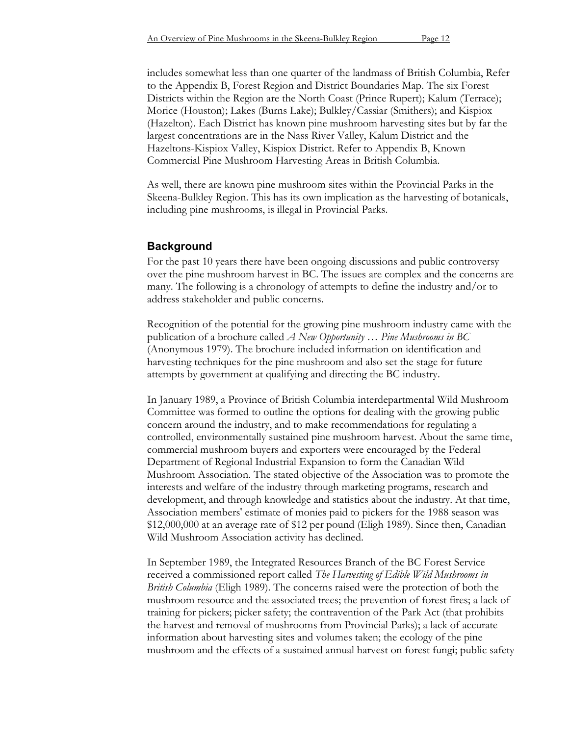includes somewhat less than one quarter of the landmass of British Columbia, Refer to the Appendix B, Forest Region and District Boundaries Map. The six Forest Districts within the Region are the North Coast (Prince Rupert); Kalum (Terrace); Morice (Houston); Lakes (Burns Lake); Bulkley/Cassiar (Smithers); and Kispiox (Hazelton). Each District has known pine mushroom harvesting sites but by far the largest concentrations are in the Nass River Valley, Kalum District and the Hazeltons-Kispiox Valley, Kispiox District. Refer to Appendix B, Known Commercial Pine Mushroom Harvesting Areas in British Columbia.

As well, there are known pine mushroom sites within the Provincial Parks in the Skeena-Bulkley Region. This has its own implication as the harvesting of botanicals, including pine mushrooms, is illegal in Provincial Parks.

## **Background**

For the past 10 years there have been ongoing discussions and public controversy over the pine mushroom harvest in BC. The issues are complex and the concerns are many. The following is a chronology of attempts to define the industry and/or to address stakeholder and public concerns.

Recognition of the potential for the growing pine mushroom industry came with the publication of a brochure called *A New Opportunity … Pine Mushrooms in BC* (Anonymous 1979). The brochure included information on identification and harvesting techniques for the pine mushroom and also set the stage for future attempts by government at qualifying and directing the BC industry.

In January 1989, a Province of British Columbia interdepartmental Wild Mushroom Committee was formed to outline the options for dealing with the growing public concern around the industry, and to make recommendations for regulating a controlled, environmentally sustained pine mushroom harvest. About the same time, commercial mushroom buyers and exporters were encouraged by the Federal Department of Regional Industrial Expansion to form the Canadian Wild Mushroom Association. The stated objective of the Association was to promote the interests and welfare of the industry through marketing programs, research and development, and through knowledge and statistics about the industry. At that time, Association members' estimate of monies paid to pickers for the 1988 season was \$12,000,000 at an average rate of \$12 per pound (Eligh 1989). Since then, Canadian Wild Mushroom Association activity has declined.

In September 1989, the Integrated Resources Branch of the BC Forest Service received a commissioned report called *The Harvesting of Edible Wild Mushrooms in British Columbia* (Eligh 1989). The concerns raised were the protection of both the mushroom resource and the associated trees; the prevention of forest fires; a lack of training for pickers; picker safety; the contravention of the Park Act (that prohibits the harvest and removal of mushrooms from Provincial Parks); a lack of accurate information about harvesting sites and volumes taken; the ecology of the pine mushroom and the effects of a sustained annual harvest on forest fungi; public safety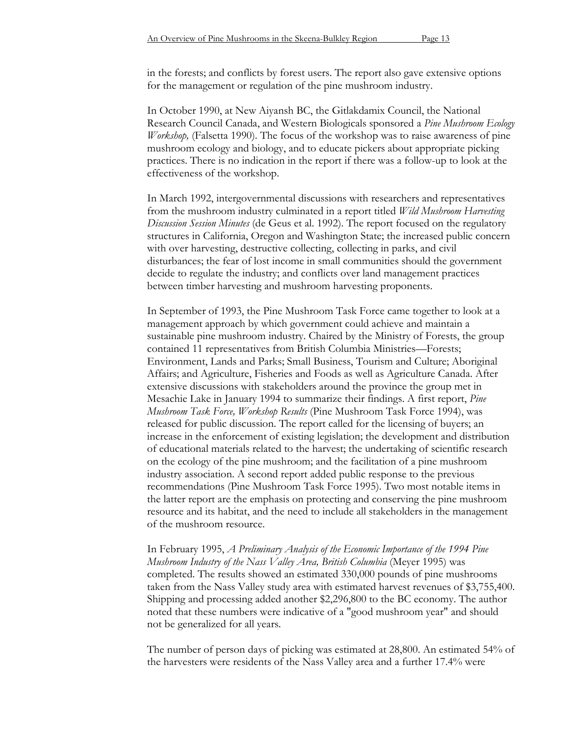in the forests; and conflicts by forest users. The report also gave extensive options for the management or regulation of the pine mushroom industry.

In October 1990, at New Aiyansh BC, the Gitlakdamix Council, the National Research Council Canada, and Western Biologicals sponsored a *Pine Mushroom Ecology Workshop,* (Falsetta 1990)*.* The focus of the workshop was to raise awareness of pine mushroom ecology and biology, and to educate pickers about appropriate picking practices. There is no indication in the report if there was a follow-up to look at the effectiveness of the workshop.

In March 1992, intergovernmental discussions with researchers and representatives from the mushroom industry culminated in a report titled *Wild Mushroom Harvesting Discussion Session Minutes* (de Geus et al. 1992). The report focused on the regulatory structures in California, Oregon and Washington State; the increased public concern with over harvesting, destructive collecting, collecting in parks, and civil disturbances; the fear of lost income in small communities should the government decide to regulate the industry; and conflicts over land management practices between timber harvesting and mushroom harvesting proponents.

In September of 1993, the Pine Mushroom Task Force came together to look at a management approach by which government could achieve and maintain a sustainable pine mushroom industry. Chaired by the Ministry of Forests, the group contained 11 representatives from British Columbia Ministries—Forests; Environment, Lands and Parks; Small Business, Tourism and Culture; Aboriginal Affairs; and Agriculture, Fisheries and Foods as well as Agriculture Canada. After extensive discussions with stakeholders around the province the group met in Mesachie Lake in January 1994 to summarize their findings. A first report, *Pine Mushroom Task Force, Workshop Results* (Pine Mushroom Task Force 1994), was released for public discussion. The report called for the licensing of buyers; an increase in the enforcement of existing legislation; the development and distribution of educational materials related to the harvest; the undertaking of scientific research on the ecology of the pine mushroom; and the facilitation of a pine mushroom industry association. A second report added public response to the previous recommendations (Pine Mushroom Task Force 1995). Two most notable items in the latter report are the emphasis on protecting and conserving the pine mushroom resource and its habitat, and the need to include all stakeholders in the management of the mushroom resource.

In February 1995, *A Preliminary Analysis of the Economic Importance of the 1994 Pine Mushroom Industry of the Nass Valley Area, British Columbia* (Meyer 1995) was completed. The results showed an estimated 330,000 pounds of pine mushrooms taken from the Nass Valley study area with estimated harvest revenues of \$3,755,400. Shipping and processing added another \$2,296,800 to the BC economy. The author noted that these numbers were indicative of a "good mushroom year" and should not be generalized for all years.

The number of person days of picking was estimated at 28,800. An estimated 54% of the harvesters were residents of the Nass Valley area and a further 17.4% were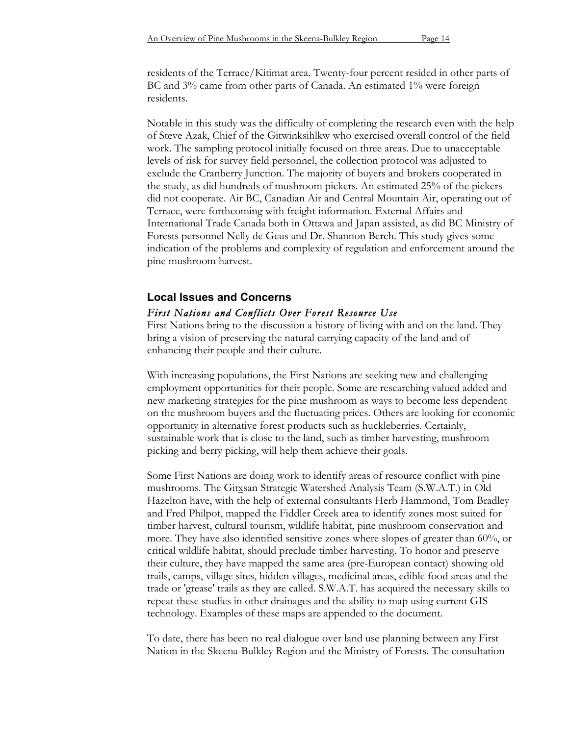residents of the Terrace/Kitimat area. Twenty-four percent resided in other parts of BC and 3% came from other parts of Canada. An estimated 1% were foreign residents.

Notable in this study was the difficulty of completing the research even with the help of Steve Azak, Chief of the Gitwinksihlkw who exercised overall control of the field work. The sampling protocol initially focused on three areas. Due to unacceptable levels of risk for survey field personnel, the collection protocol was adjusted to exclude the Cranberry Junction. The majority of buyers and brokers cooperated in the study, as did hundreds of mushroom pickers. An estimated 25% of the pickers did not cooperate. Air BC, Canadian Air and Central Mountain Air, operating out of Terrace, were forthcoming with freight information. External Affairs and International Trade Canada both in Ottawa and Japan assisted, as did BC Ministry of Forests personnel Nelly de Geus and Dr. Shannon Berch. This study gives some indication of the problems and complexity of regulation and enforcement around the pine mushroom harvest.

# **Local Issues and Concerns** *First Nations and Conflicts Over Forest Resource Use*

First Nations bring to the discussion a history of living with and on the land. They bring a vision of preserving the natural carrying capacity of the land and of enhancing their people and their culture.

With increasing populations, the First Nations are seeking new and challenging employment opportunities for their people. Some are researching valued added and new marketing strategies for the pine mushroom as ways to become less dependent on the mushroom buyers and the fluctuating prices. Others are looking for economic opportunity in alternative forest products such as huckleberries. Certainly, sustainable work that is close to the land, such as timber harvesting, mushroom picking and berry picking, will help them achieve their goals.

Some First Nations are doing work to identify areas of resource conflict with pine mushrooms. The Gitxsan Strategic Watershed Analysis Team (S.W.A.T.) in Old Hazelton have, with the help of external consultants Herb Hammond, Tom Bradley and Fred Philpot, mapped the Fiddler Creek area to identify zones most suited for timber harvest, cultural tourism, wildlife habitat, pine mushroom conservation and more. They have also identified sensitive zones where slopes of greater than 60%, or critical wildlife habitat, should preclude timber harvesting. To honor and preserve their culture, they have mapped the same area (pre-European contact) showing old trails, camps, village sites, hidden villages, medicinal areas, edible food areas and the trade or 'grease' trails as they are called. S.W.A.T. has acquired the necessary skills to repeat these studies in other drainages and the ability to map using current GIS technology. Examples of these maps are appended to the document.

To date, there has been no real dialogue over land use planning between any First Nation in the Skeena-Bulkley Region and the Ministry of Forests. The consultation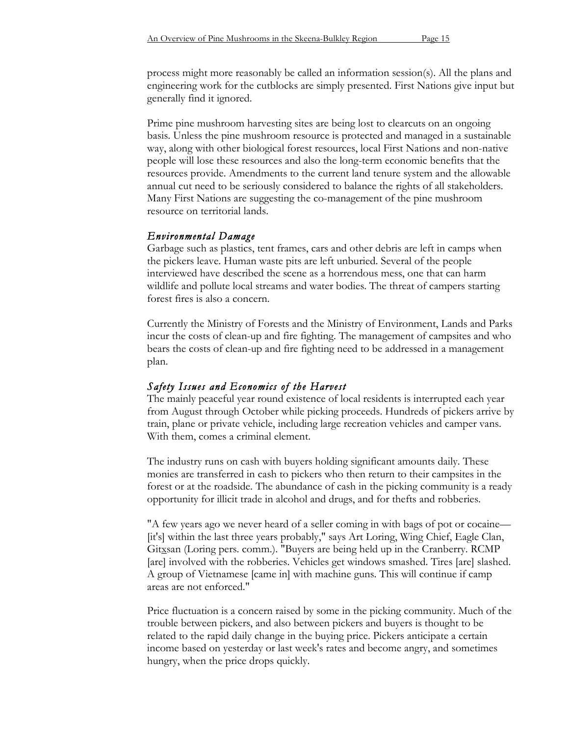process might more reasonably be called an information session(s). All the plans and engineering work for the cutblocks are simply presented. First Nations give input but generally find it ignored.

Prime pine mushroom harvesting sites are being lost to clearcuts on an ongoing basis. Unless the pine mushroom resource is protected and managed in a sustainable way, along with other biological forest resources, local First Nations and non-native people will lose these resources and also the long-term economic benefits that the resources provide. Amendments to the current land tenure system and the allowable annual cut need to be seriously considered to balance the rights of all stakeholders. Many First Nations are suggesting the co-management of the pine mushroom resource on territorial lands.

# *Environmental Damage*

Garbage such as plastics, tent frames, cars and other debris are left in camps when the pickers leave. Human waste pits are left unburied. Several of the people interviewed have described the scene as a horrendous mess, one that can harm wildlife and pollute local streams and water bodies. The threat of campers starting forest fires is also a concern.

Currently the Ministry of Forests and the Ministry of Environment, Lands and Parks incur the costs of clean-up and fire fighting. The management of campsites and who bears the costs of clean-up and fire fighting need to be addressed in a management plan.

# *Safety Issues and Economics of the Harvest*

The mainly peaceful year round existence of local residents is interrupted each year from August through October while picking proceeds. Hundreds of pickers arrive by train, plane or private vehicle, including large recreation vehicles and camper vans. With them, comes a criminal element.

The industry runs on cash with buyers holding significant amounts daily. These monies are transferred in cash to pickers who then return to their campsites in the forest or at the roadside. The abundance of cash in the picking community is a ready opportunity for illicit trade in alcohol and drugs, and for thefts and robberies.

"A few years ago we never heard of a seller coming in with bags of pot or cocaine— [it's] within the last three years probably," says Art Loring, Wing Chief, Eagle Clan, Gitxsan (Loring pers. comm.). "Buyers are being held up in the Cranberry. RCMP [are] involved with the robberies. Vehicles get windows smashed. Tires [are] slashed. A group of Vietnamese [came in] with machine guns. This will continue if camp areas are not enforced."

Price fluctuation is a concern raised by some in the picking community. Much of the trouble between pickers, and also between pickers and buyers is thought to be related to the rapid daily change in the buying price. Pickers anticipate a certain income based on yesterday or last week's rates and become angry, and sometimes hungry, when the price drops quickly.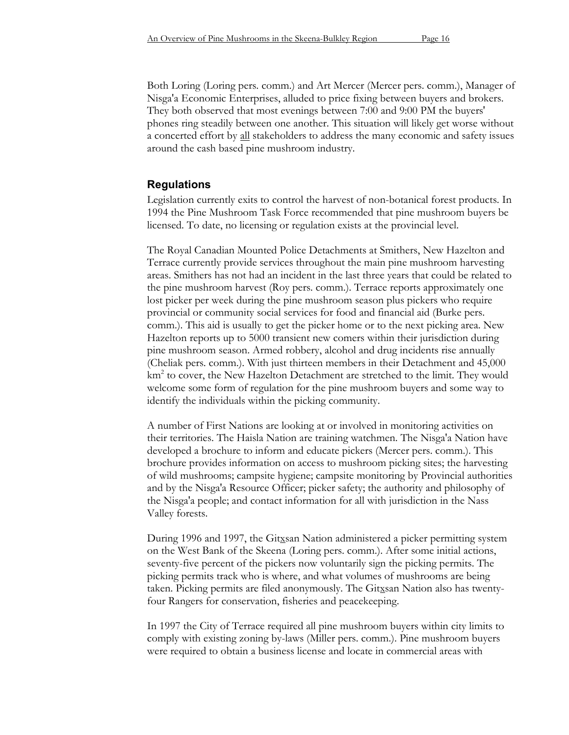Both Loring (Loring pers. comm.) and Art Mercer (Mercer pers. comm.), Manager of Nisga'a Economic Enterprises, alluded to price fixing between buyers and brokers. They both observed that most evenings between 7:00 and 9:00 PM the buyers' phones ring steadily between one another. This situation will likely get worse without a concerted effort by all stakeholders to address the many economic and safety issues around the cash based pine mushroom industry.

#### **Regulations**

Legislation currently exits to control the harvest of non-botanical forest products. In 1994 the Pine Mushroom Task Force recommended that pine mushroom buyers be licensed. To date, no licensing or regulation exists at the provincial level.

The Royal Canadian Mounted Police Detachments at Smithers, New Hazelton and Terrace currently provide services throughout the main pine mushroom harvesting areas. Smithers has not had an incident in the last three years that could be related to the pine mushroom harvest (Roy pers. comm.). Terrace reports approximately one lost picker per week during the pine mushroom season plus pickers who require provincial or community social services for food and financial aid (Burke pers. comm.). This aid is usually to get the picker home or to the next picking area. New Hazelton reports up to 5000 transient new comers within their jurisdiction during pine mushroom season. Armed robbery, alcohol and drug incidents rise annually (Cheliak pers. comm.). With just thirteen members in their Detachment and 45,000 km<sup>2</sup> to cover, the New Hazelton Detachment are stretched to the limit. They would welcome some form of regulation for the pine mushroom buyers and some way to identify the individuals within the picking community.

A number of First Nations are looking at or involved in monitoring activities on their territories. The Haisla Nation are training watchmen. The Nisga'a Nation have developed a brochure to inform and educate pickers (Mercer pers. comm.). This brochure provides information on access to mushroom picking sites; the harvesting of wild mushrooms; campsite hygiene; campsite monitoring by Provincial authorities and by the Nisga'a Resource Officer; picker safety; the authority and philosophy of the Nisga'a people; and contact information for all with jurisdiction in the Nass Valley forests.

During 1996 and 1997, the Gitxsan Nation administered a picker permitting system on the West Bank of the Skeena (Loring pers. comm.). After some initial actions, seventy-five percent of the pickers now voluntarily sign the picking permits. The picking permits track who is where, and what volumes of mushrooms are being taken. Picking permits are filed anonymously. The Gitxsan Nation also has twentyfour Rangers for conservation, fisheries and peacekeeping.

In 1997 the City of Terrace required all pine mushroom buyers within city limits to comply with existing zoning by-laws (Miller pers. comm.). Pine mushroom buyers were required to obtain a business license and locate in commercial areas with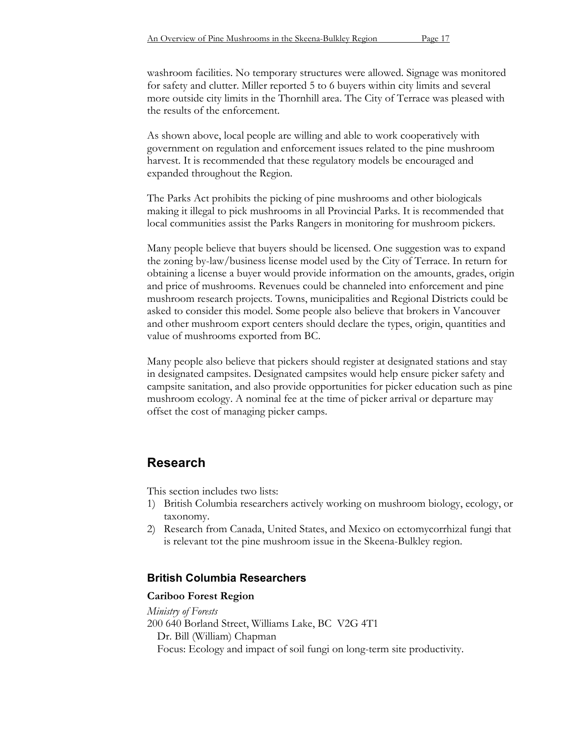washroom facilities. No temporary structures were allowed. Signage was monitored for safety and clutter. Miller reported 5 to 6 buyers within city limits and several more outside city limits in the Thornhill area. The City of Terrace was pleased with the results of the enforcement.

As shown above, local people are willing and able to work cooperatively with government on regulation and enforcement issues related to the pine mushroom harvest. It is recommended that these regulatory models be encouraged and expanded throughout the Region.

The Parks Act prohibits the picking of pine mushrooms and other biologicals making it illegal to pick mushrooms in all Provincial Parks. It is recommended that local communities assist the Parks Rangers in monitoring for mushroom pickers.

Many people believe that buyers should be licensed. One suggestion was to expand the zoning by-law/business license model used by the City of Terrace. In return for obtaining a license a buyer would provide information on the amounts, grades, origin and price of mushrooms. Revenues could be channeled into enforcement and pine mushroom research projects. Towns, municipalities and Regional Districts could be asked to consider this model. Some people also believe that brokers in Vancouver and other mushroom export centers should declare the types, origin, quantities and value of mushrooms exported from BC.

Many people also believe that pickers should register at designated stations and stay in designated campsites. Designated campsites would help ensure picker safety and campsite sanitation, and also provide opportunities for picker education such as pine mushroom ecology. A nominal fee at the time of picker arrival or departure may offset the cost of managing picker camps.

# **Research**

This section includes two lists:

- 1) British Columbia researchers actively working on mushroom biology, ecology, or taxonomy.
- 2) Research from Canada, United States, and Mexico on ectomycorrhizal fungi that is relevant tot the pine mushroom issue in the Skeena-Bulkley region.

# **British Columbia Researchers**

## **Cariboo Forest Region**

*Ministry of Forests* 200 640 Borland Street, Williams Lake, BC V2G 4T1 Dr. Bill (William) Chapman Focus: Ecology and impact of soil fungi on long-term site productivity.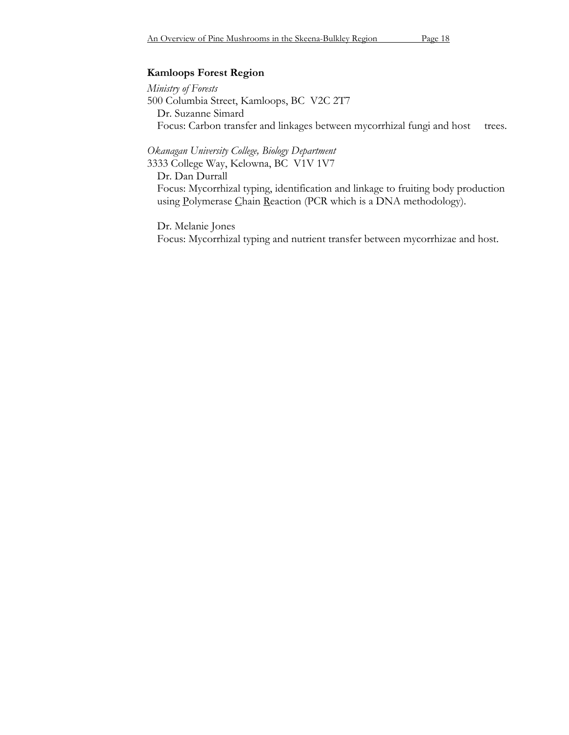## **Kamloops Forest Region**

*Ministry of Forests* 500 Columbia Street, Kamloops, BC V2C 2T7 Dr. Suzanne Simard Focus: Carbon transfer and linkages between mycorrhizal fungi and host trees.

*Okanagan University College, Biology Department*

3333 College Way, Kelowna, BC V1V 1V7

Dr. Dan Durrall Focus: Mycorrhizal typing, identification and linkage to fruiting body production using Polymerase Chain Reaction (PCR which is a DNA methodology).

Dr. Melanie Jones

Focus: Mycorrhizal typing and nutrient transfer between mycorrhizae and host.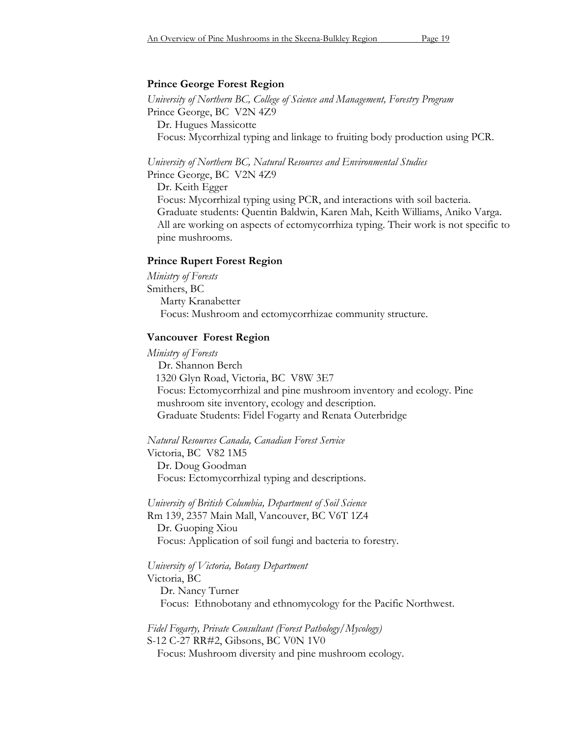### **Prince George Forest Region**

*University of Northern BC, College of Science and Management, Forestry Program* Prince George, BCV2N 4Z9 Dr. Hugues Massicotte Focus: Mycorrhizal typing and linkage to fruiting body production using PCR.

*University of Northern BC, Natural Resources and Environmental Studies*

Prince George, BC V2N 4Z9

Dr. Keith Egger

Focus: Mycorrhizal typing using PCR, and interactions with soil bacteria. Graduate students: Quentin Baldwin, Karen Mah, Keith Williams, Aniko Varga. All are working on aspects of ectomycorrhiza typing. Their work is not specific to pine mushrooms.

#### **Prince Rupert Forest Region**

*Ministry of Forests* Smithers, BC Marty Kranabetter Focus: Mushroom and ectomycorrhizae community structure.

#### **Vancouver Forest Region**

*Ministry of Forests* Dr. Shannon Berch 1320 Glyn Road, Victoria, BC V8W 3E7 Focus: Ectomycorrhizal and pine mushroom inventory and ecology. Pine mushroom site inventory, ecology and description. Graduate Students: Fidel Fogarty and Renata Outerbridge

*Natural Resources Canada, Canadian Forest Service* Victoria, BC V82 1M5 Dr. Doug Goodman Focus: Ectomycorrhizal typing and descriptions.

*University of British Columbia, Department of Soil Science* Rm 139, 2357 Main Mall, Vancouver, BC V6T 1Z4 Dr. Guoping Xiou Focus: Application of soil fungi and bacteria to forestry.

# *University of Victoria, Botany Department*

Victoria, BC Dr. Nancy Turner Focus: Ethnobotany and ethnomycology for the Pacific Northwest.

*Fidel Fogarty, Private Consultant (Forest Pathology/Mycology)* S-12 C-27 RR#2, Gibsons, BC V0N 1V0

Focus: Mushroom diversity and pine mushroom ecology.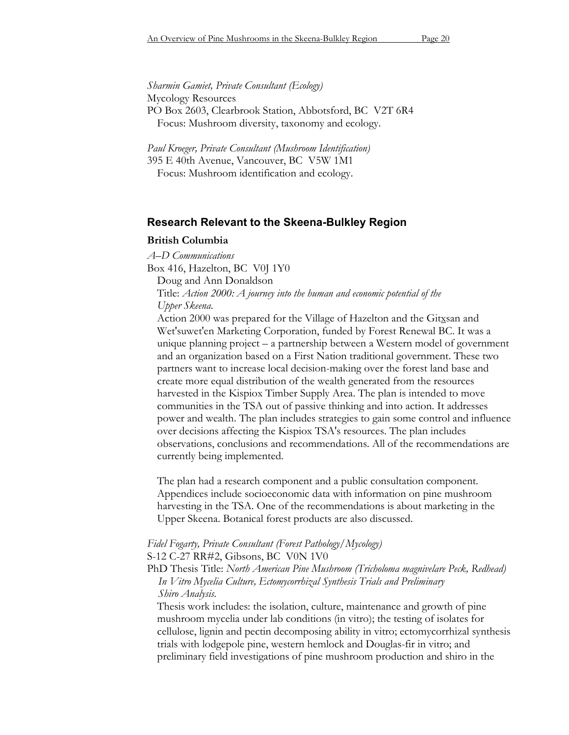*Sharmin Gamiet, Private Consultant (Ecology)* Mycology Resources PO Box 2603, Clearbrook Station, Abbotsford, BC V2T 6R4 Focus: Mushroom diversity, taxonomy and ecology.

*Paul Kroeger, Private Consultant (Mushroom Identification)* 395 E 40th Avenue, Vancouver, BC V5W 1M1 Focus: Mushroom identification and ecology.

#### **Research Relevant to the Skeena-Bulkley Region**

#### **British Columbia**

*A–D Communications*

Box 416, Hazelton, BC V0J 1Y0

Doug and Ann Donaldson

Title: *Action 2000: A journey into the human and economic potential of the Upper Skeena.*

Action 2000 was prepared for the Village of Hazelton and the Gitxsan and Wet'suwet'en Marketing Corporation, funded by Forest Renewal BC. It was a unique planning project – a partnership between a Western model of government and an organization based on a First Nation traditional government. These two partners want to increase local decision-making over the forest land base and create more equal distribution of the wealth generated from the resources harvested in the Kispiox Timber Supply Area. The plan is intended to move communities in the TSA out of passive thinking and into action. It addresses power and wealth. The plan includes strategies to gain some control and influence over decisions affecting the Kispiox TSA's resources. The plan includes observations, conclusions and recommendations. All of the recommendations are currently being implemented.

The plan had a research component and a public consultation component. Appendices include socioeconomic data with information on pine mushroom harvesting in the TSA. One of the recommendations is about marketing in the Upper Skeena. Botanical forest products are also discussed.

# *Fidel Fogarty, Private Consultant (Forest Pathology/Mycology)*

S-12 C-27 RR#2, Gibsons, BC V0N 1V0

PhD Thesis Title: *North American Pine Mushroom (Tricholoma magnivelare Peck, Redhead) In Vitro Mycelia Culture, Ectomycorrhizal Synthesis Trials and Preliminary Shiro Analysis.*

Thesis work includes: the isolation, culture, maintenance and growth of pine mushroom mycelia under lab conditions (in vitro); the testing of isolates for cellulose, lignin and pectin decomposing ability in vitro; ectomycorrhizal synthesis trials with lodgepole pine, western hemlock and Douglas-fir in vitro; and preliminary field investigations of pine mushroom production and shiro in the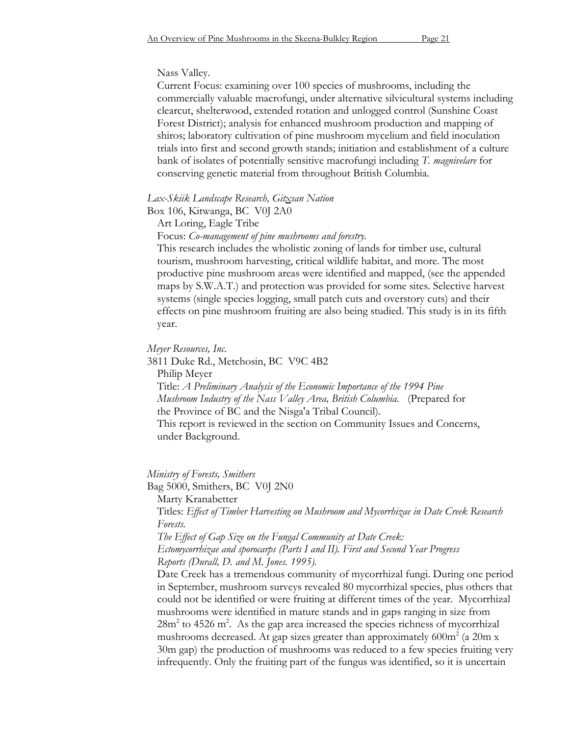#### Nass Valley.

Current Focus: examining over 100 species of mushrooms, including the commercially valuable macrofungi, under alternative silvicultural systems including clearcut, shelterwood, extended rotation and unlogged control (Sunshine Coast Forest District); analysis for enhanced mushroom production and mapping of shiros; laboratory cultivation of pine mushroom mycelium and field inoculation trials into first and second growth stands; initiation and establishment of a culture bank of isolates of potentially sensitive macrofungi including *T. magnivelare* for conserving genetic material from throughout British Columbia.

#### *Lax-Skiik Landscape Research, Gitxsan Nation*

Box 106, Kitwanga, BC V0J 2A0

Art Loring, Eagle Tribe

Focus: *Co-management of pine mushrooms and forestry.*

This research includes the wholistic zoning of lands for timber use, cultural tourism, mushroom harvesting, critical wildlife habitat, and more. The most productive pine mushroom areas were identified and mapped, (see the appended maps by S.W.A.T.) and protection was provided for some sites. Selective harvest systems (single species logging, small patch cuts and overstory cuts) and their effects on pine mushroom fruiting are also being studied. This study is in its fifth year.

#### *Meyer Resources, Inc.*

3811 Duke Rd., Metchosin, BC V9C 4B2 Philip Meyer Title: *A Preliminary Analysis of the Economic Importance of the 1994 Pine Mushroom Industry of the Nass Valley Area, British Columbia*. (Prepared for the Province of BC and the Nisga'a Tribal Council). This report is reviewed in the section on Community Issues and Concerns, under Background.

#### *Ministry of Forests, Smithers*

Bag 5000, Smithers, BC V0J 2N0 Marty Kranabetter

Titles: *Effect of Timber Harvesting on Mushroom and Mycorrhizae in Date Creek Research Forests.*

*The Effect of Gap Size on the Fungal Community at Date Creek:* 

*Ectomycorrhizae and sporocarps (Parts I and II). First and Second Year Progress Reports (Durall, D. and M. Jones. 1995).*

Date Creek has a tremendous community of mycorrhizal fungi. During one period in September, mushroom surveys revealed 80 mycorrhizal species, plus others that could not be identified or were fruiting at different times of the year. Mycorrhizal mushrooms were identified in mature stands and in gaps ranging in size from  $28m<sup>2</sup>$  to 4526 m<sup>2</sup>. As the gap area increased the species richness of mycorrhizal mushrooms decreased. At gap sizes greater than approximately 600 $m^2$  (a 20m x 30m gap) the production of mushrooms was reduced to a few species fruiting very infrequently. Only the fruiting part of the fungus was identified, so it is uncertain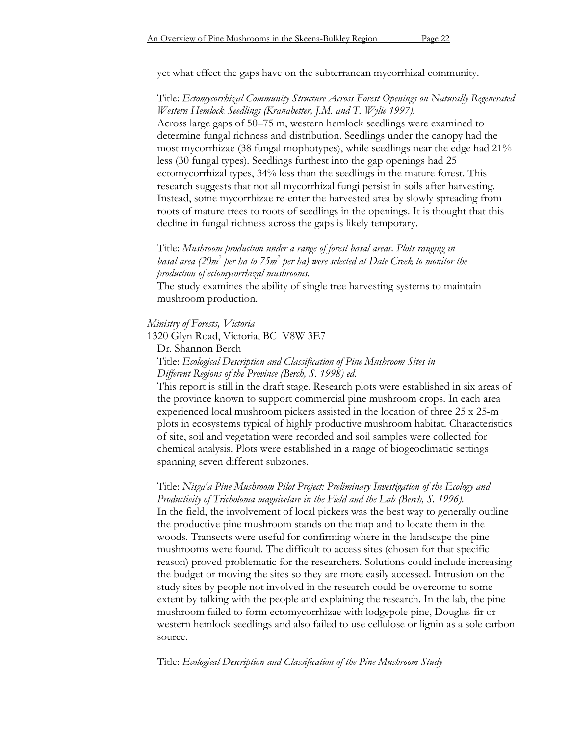yet what effect the gaps have on the subterranean mycorrhizal community.

## Title: *Ectomycorrhizal Community Structure Across Forest Openings on Naturally Regenerated Western Hemlock Seedlings (Kranabetter, J.M. and T. Wylie 1997).*

Across large gaps of 50–75 m, western hemlock seedlings were examined to determine fungal richness and distribution. Seedlings under the canopy had the most mycorrhizae (38 fungal mophotypes), while seedlings near the edge had 21% less (30 fungal types). Seedlings furthest into the gap openings had 25 ectomycorrhizal types, 34% less than the seedlings in the mature forest. This research suggests that not all mycorrhizal fungi persist in soils after harvesting. Instead, some mycorrhizae re-enter the harvested area by slowly spreading from roots of mature trees to roots of seedlings in the openings. It is thought that this decline in fungal richness across the gaps is likely temporary.

## Title: *Mushroom production under a range of forest basal areas. Plots ranging in* basal area (20m<sup>2</sup> per ha to 75m<sup>2</sup> per ha) were selected at Date Creek to monitor the *production of ectomycorrhizal mushrooms.*

The study examines the ability of single tree harvesting systems to maintain mushroom production.

#### *Ministry of Forests, Victoria*

1320 Glyn Road, Victoria, BC V8W 3E7

Dr. Shannon Berch

### Title: *Ecological Description and Classification of Pine Mushroom Sites in Different Regions of the Province (Berch, S. 1998) ed.*

This report is still in the draft stage. Research plots were established in six areas of the province known to support commercial pine mushroom crops. In each area experienced local mushroom pickers assisted in the location of three 25 x 25-m plots in ecosystems typical of highly productive mushroom habitat. Characteristics of site, soil and vegetation were recorded and soil samples were collected for chemical analysis. Plots were established in a range of biogeoclimatic settings spanning seven different subzones.

## Title: *Nisga'a Pine Mushroom Pilot Project: Preliminary Investigation of the Ecology and Productivity of Tricholoma magnivelare in the Field and the Lab (Berch, S. 1996).* In the field, the involvement of local pickers was the best way to generally outline the productive pine mushroom stands on the map and to locate them in the woods. Transects were useful for confirming where in the landscape the pine mushrooms were found. The difficult to access sites (chosen for that specific reason) proved problematic for the researchers. Solutions could include increasing the budget or moving the sites so they are more easily accessed. Intrusion on the study sites by people not involved in the research could be overcome to some extent by talking with the people and explaining the research. In the lab, the pine mushroom failed to form ectomycorrhizae with lodgepole pine, Douglas-fir or western hemlock seedlings and also failed to use cellulose or lignin as a sole carbon source.

Title: *Ecological Description and Classification of the Pine Mushroom Study*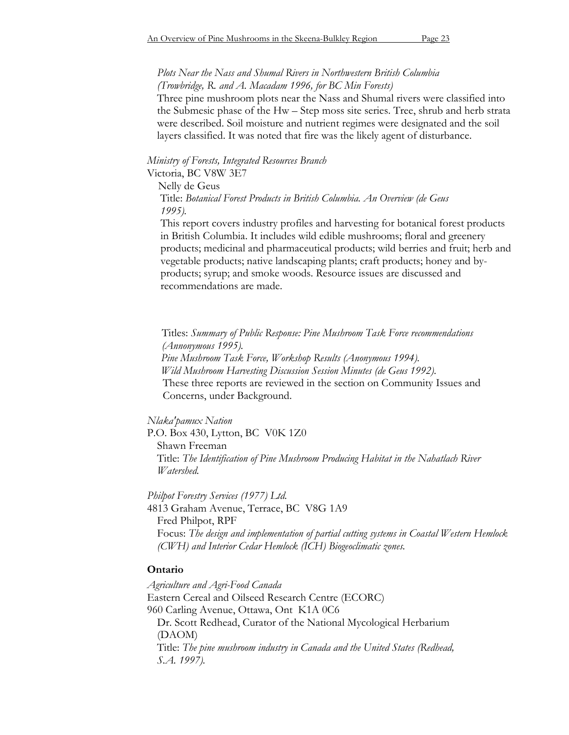#### *Plots Near the Nass and Shumal Rivers in Northwestern British Columbia (Trowbridge, R. and A. Macadam 1996, for BC Min Forests)*

Three pine mushroom plots near the Nass and Shumal rivers were classified into the Submesic phase of the Hw – Step moss site series. Tree, shrub and herb strata were described. Soil moisture and nutrient regimes were designated and the soil layers classified. It was noted that fire was the likely agent of disturbance.

## *Ministry of Forests, Integrated Resources Branch*

Victoria, BC V8W 3E7

Nelly de Geus

Title: *Botanical Forest Products in British Columbia. An Overview (de Geus 1995).*

This report covers industry profiles and harvesting for botanical forest products in British Columbia. It includes wild edible mushrooms; floral and greenery products; medicinal and pharmaceutical products; wild berries and fruit; herb and vegetable products; native landscaping plants; craft products; honey and byproducts; syrup; and smoke woods. Resource issues are discussed and recommendations are made.

Titles: *Summary of Public Response: Pine Mushroom Task Force recommendations (Annonymous 1995). Pine Mushroom Task Force, Workshop Results (Anonymous 1994). Wild Mushroom Harvesting Discussion Session Minutes (de Geus 1992).* These three reports are reviewed in the section on Community Issues and Concerns, under Background.

#### *Nlaka'pamux Nation*

P.O. Box 430, Lytton, BC V0K 1Z0 Shawn Freeman Title: *The Identification of Pine Mushroom Producing Habitat in the Nahatlach River Watershed.*

*Philpot Forestry Services (1977) Ltd.* 4813 Graham Avenue, Terrace, BC V8G 1A9 Fred Philpot, RPF Focus: *The design and implementation of partial cutting systems in Coastal Western Hemlock (CWH) and Interior Cedar Hemlock (ICH) Biogeoclimatic zones.*

#### **Ontario**

*Agriculture and Agri-Food Canada* Eastern Cereal and Oilseed Research Centre (ECORC) 960 Carling Avenue, Ottawa, Ont K1A 0C6 Dr. Scott Redhead, Curator of the National Mycological Herbarium (DAOM) Title: *The pine mushroom industry in Canada and the United States (Redhead, S.A. 1997).*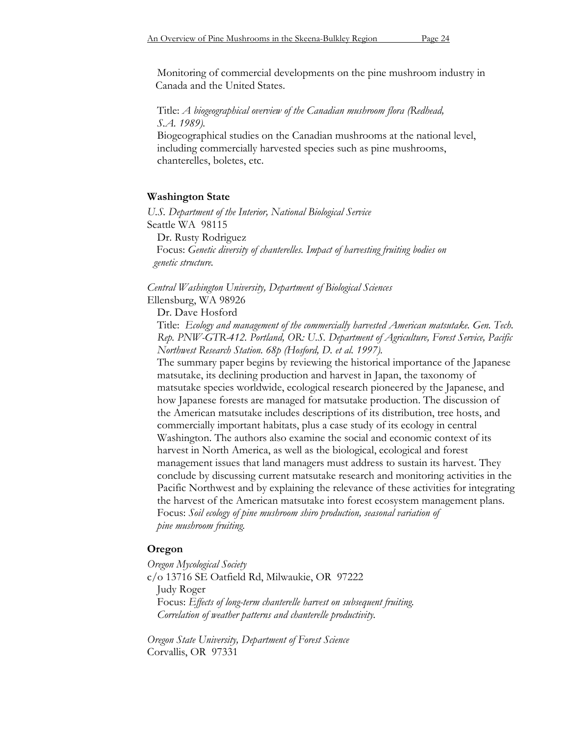Monitoring of commercial developments on the pine mushroom industry in Canada and the United States.

Title: *A biogeographical overview of the Canadian mushroom flora (Redhead, S.A. 1989).*

Biogeographical studies on the Canadian mushrooms at the national level, including commercially harvested species such as pine mushrooms, chanterelles, boletes, etc.

#### **Washington State**

*U.S. Department of the Interior, National Biological Service* Seattle WA 98115 Dr. Rusty Rodriguez Focus: *Genetic diversity of chanterelles. Impact of harvesting fruiting bodies on*

*genetic structure.*

*Central Washington University, Department of Biological Sciences* Ellensburg, WA 98926

Dr. Dave Hosford

Title: *Ecology and management of the commercially harvested American matsutake. Gen. Tech. Rep. PNW-GTR-412. Portland, OR: U.S. Department of Agriculture, Forest Service, Pacific Northwest Research Station. 68p (Hosford, D. et al. 1997).*

The summary paper begins by reviewing the historical importance of the Japanese matsutake, its declining production and harvest in Japan, the taxonomy of matsutake species worldwide, ecological research pioneered by the Japanese, and how Japanese forests are managed for matsutake production. The discussion of the American matsutake includes descriptions of its distribution, tree hosts, and commercially important habitats, plus a case study of its ecology in central Washington. The authors also examine the social and economic context of its harvest in North America, as well as the biological, ecological and forest management issues that land managers must address to sustain its harvest. They conclude by discussing current matsutake research and monitoring activities in the Pacific Northwest and by explaining the relevance of these activities for integrating the harvest of the American matsutake into forest ecosystem management plans. Focus: *Soil ecology of pine mushroom shiro production, seasonal variation of pine mushroom fruiting.*

#### **Oregon**

*Oregon Mycological Society* c/o 13716 SE Oatfield Rd, Milwaukie, OR 97222 Judy Roger Focus: *Effects of long-term chanterelle harvest on subsequent fruiting. Correlation of weather patterns and chanterelle productivity.*

*Oregon State University, Department of Forest Science* Corvallis, OR 97331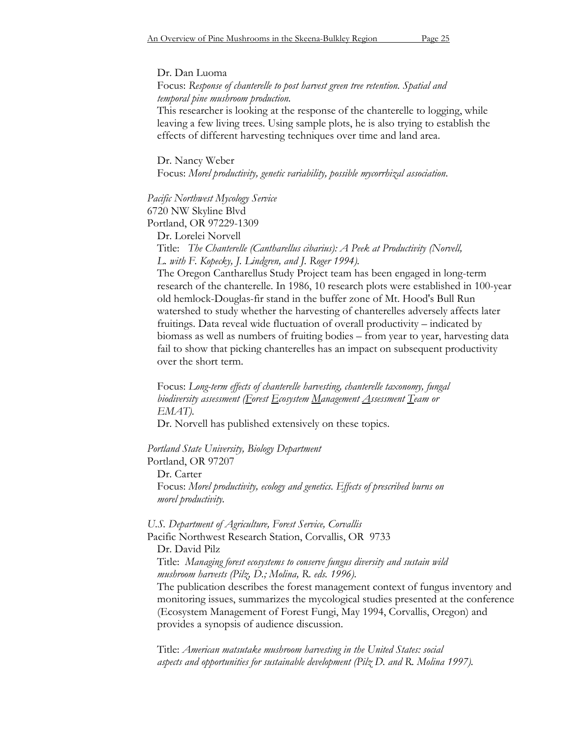#### Dr. Dan Luoma

### Focus: *Response of chanterelle to post harvest green tree retention. Spatial and temporal pine mushroom production.*

This researcher is looking at the response of the chanterelle to logging, while leaving a few living trees. Using sample plots, he is also trying to establish the effects of different harvesting techniques over time and land area.

Dr. Nancy Weber Focus: *Morel productivity, genetic variability, possible mycorrhizal association*.

# *Pacific Northwest Mycology Service*

6720 NW Skyline Blvd Portland, OR 97229-1309

Dr. Lorelei Norvell

Title: *The Chanterelle (Cantharellus cibarius): A Peek at Productivity (Norvell, L. with F. Kopecky, J. Lindgren, and J. Roger 1994).* 

The Oregon Cantharellus Study Project team has been engaged in long-term research of the chanterelle. In 1986, 10 research plots were established in 100-year old hemlock-Douglas-fir stand in the buffer zone of Mt. Hood's Bull Run watershed to study whether the harvesting of chanterelles adversely affects later fruitings. Data reveal wide fluctuation of overall productivity – indicated by biomass as well as numbers of fruiting bodies – from year to year, harvesting data fail to show that picking chanterelles has an impact on subsequent productivity over the short term.

Focus: *Long-term effects of chanterelle harvesting, chanterelle taxonomy, fungal biodiversity assessment (Forest Ecosystem Management Assessment Team or EMAT).*

Dr. Norvell has published extensively on these topics.

#### *Portland State University, Biology Department* Portland, OR 97207

Dr. Carter Focus: *Morel productivity, ecology and genetics. Effects of prescribed burns on morel productivity.*

#### *U.S. Department of Agriculture, Forest Service, Corvallis*

Pacific Northwest Research Station, Corvallis, OR 9733 Dr. David Pilz

Title: *Managing forest ecosystems to conserve fungus diversity and sustain wild mushroom harvests (Pilz, D.; Molina, R. eds. 1996).*

The publication describes the forest management context of fungus inventory and monitoring issues, summarizes the mycological studies presented at the conference (Ecosystem Management of Forest Fungi, May 1994, Corvallis, Oregon) and provides a synopsis of audience discussion.

Title: *American matsutake mushroom harvesting in the United States: social aspects and opportunities for sustainable development (Pilz D. and R. Molina 1997).*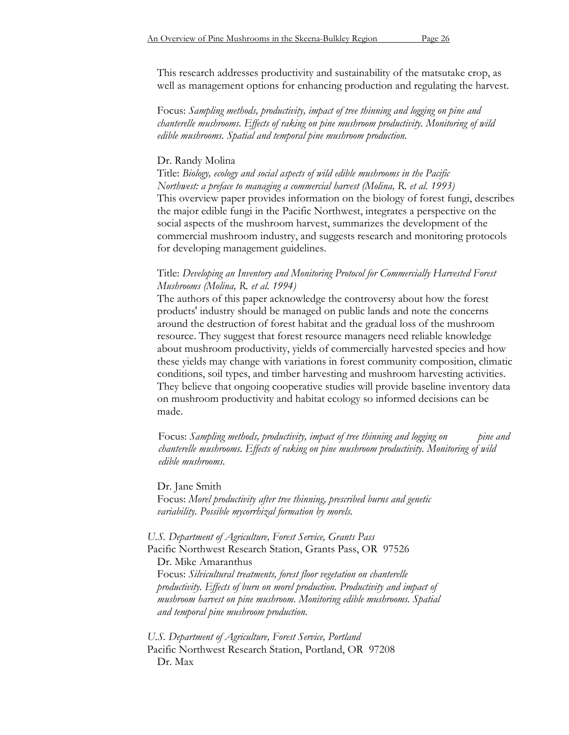This research addresses productivity and sustainability of the matsutake crop, as well as management options for enhancing production and regulating the harvest.

Focus: *Sampling methods, productivity, impact of tree thinning and logging on pine and chanterelle mushrooms. Effects of raking on pine mushroom productivity. Monitoring of wild edible mushrooms. Spatial and temporal pine mushroom production.*

#### Dr. Randy Molina

Title: *Biology, ecology and social aspects of wild edible mushrooms in the Pacific Northwest: a preface to managing a commercial harvest (Molina, R. et al. 1993)*  This overview paper provides information on the biology of forest fungi, describes the major edible fungi in the Pacific Northwest, integrates a perspective on the social aspects of the mushroom harvest, summarizes the development of the commercial mushroom industry, and suggests research and monitoring protocols for developing management guidelines.

## Title: *Developing an Inventory and Monitoring Protocol for Commercially Harvested Forest Mushrooms (Molina, R. et al. 1994)*

The authors of this paper acknowledge the controversy about how the forest products' industry should be managed on public lands and note the concerns around the destruction of forest habitat and the gradual loss of the mushroom resource. They suggest that forest resource managers need reliable knowledge about mushroom productivity, yields of commercially harvested species and how these yields may change with variations in forest community composition, climatic conditions, soil types, and timber harvesting and mushroom harvesting activities. They believe that ongoing cooperative studies will provide baseline inventory data on mushroom productivity and habitat ecology so informed decisions can be made.

Focus: *Sampling methods, productivity, impact of tree thinning and logging on* pine and *chanterelle mushrooms. Effects of raking on pine mushroom productivity. Monitoring of wild edible mushrooms.*

Dr. Jane Smith Focus: *Morel productivity after tree thinning, prescribed burns and genetic variability. Possible mycorrhizal formation by morels.*

*U.S. Department of Agriculture, Forest Service, Grants Pass* Pacific Northwest Research Station, Grants Pass, OR 97526 Dr. Mike Amaranthus Focus: *Silvicultural treatments, forest floor vegetation on chanterelle productivity. Effects of burn on morel production. Productivity and impact of mushroom harvest on pine mushroom. Monitoring edible mushrooms. Spatial and temporal pine mushroom production.*

*U.S. Department of Agriculture, Forest Service, Portland* Pacific Northwest Research Station, Portland, OR 97208 Dr. Max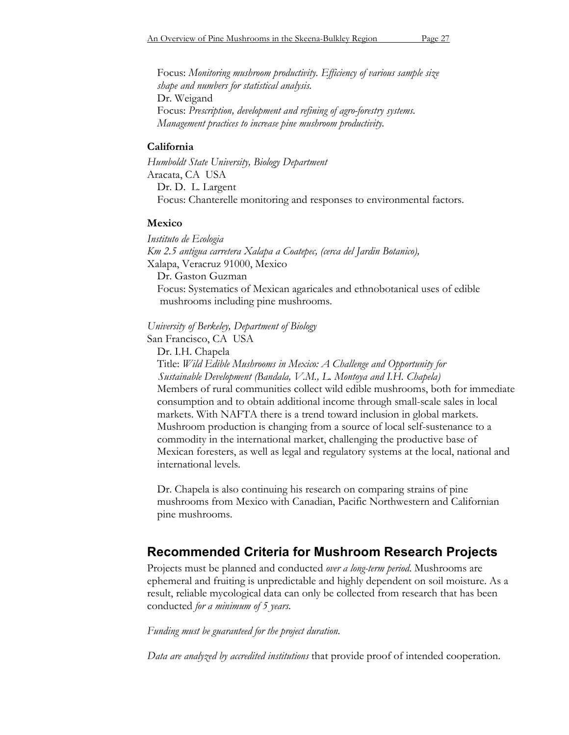Focus: *Monitoring mushroom productivity. Efficiency of various sample size shape and numbers for statistical analysis.* Dr. Weigand Focus: *Prescription, development and refining of agro-forestry systems. Management practices to increase pine mushroom productivity.*

#### **California**

*Humboldt State University, Biology Department* Aracata, CA USA Dr. D. L. Largent Focus: Chanterelle monitoring and responses to environmental factors.

#### **Mexico**

*Instituto de Ecologia Km 2.5 antigua carretera Xalapa a Coatepec, (cerca del Jardin Botanico),* Xalapa, Veracruz 91000, Mexico Dr. Gaston Guzman Focus: Systematics of Mexican agaricales and ethnobotanical uses of edible mushrooms including pine mushrooms.

*University of Berkeley, Department of Biology*

San Francisco, CA USA

Dr. I.H. Chapela

Title: *Wild Edible Mushrooms in Mexico: A Challenge and Opportunity for Sustainable Development (Bandala, V.M., L. Montoya and I.H. Chapela)* Members of rural communities collect wild edible mushrooms, both for immediate consumption and to obtain additional income through small-scale sales in local markets. With NAFTA there is a trend toward inclusion in global markets. Mushroom production is changing from a source of local self-sustenance to a commodity in the international market, challenging the productive base of Mexican foresters, as well as legal and regulatory systems at the local, national and international levels.

Dr. Chapela is also continuing his research on comparing strains of pine mushrooms from Mexico with Canadian, Pacific Northwestern and Californian pine mushrooms.

# **Recommended Criteria for Mushroom Research Projects**

Projects must be planned and conducted *over a long-term period*. Mushrooms are ephemeral and fruiting is unpredictable and highly dependent on soil moisture. As a result, reliable mycological data can only be collected from research that has been conducted *for a minimum of 5 years*.

*Funding must be guaranteed for the project duration.*

*Data are analyzed by accredited institutions* that provide proof of intended cooperation.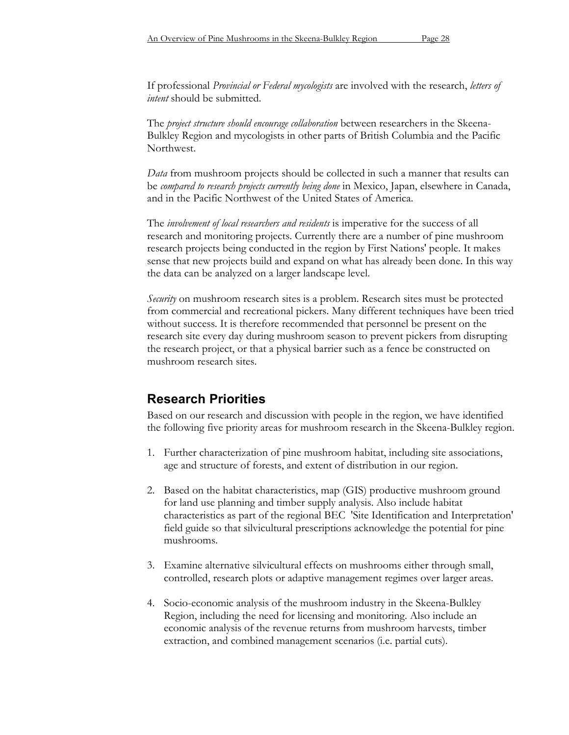The *project structure should encourage collaboration* between researchers in the Skeena-Bulkley Region and mycologists in other parts of British Columbia and the Pacific Northwest.

*Data* from mushroom projects should be collected in such a manner that results can be *compared to research projects currently being done* in Mexico, Japan, elsewhere in Canada, and in the Pacific Northwest of the United States of America.

The *involvement of local researchers and residents* is imperative for the success of all research and monitoring projects. Currently there are a number of pine mushroom research projects being conducted in the region by First Nations' people. It makes sense that new projects build and expand on what has already been done. In this way the data can be analyzed on a larger landscape level.

*Security* on mushroom research sites is a problem. Research sites must be protected from commercial and recreational pickers. Many different techniques have been tried without success. It is therefore recommended that personnel be present on the research site every day during mushroom season to prevent pickers from disrupting the research project, or that a physical barrier such as a fence be constructed on mushroom research sites.

# **Research Priorities**

Based on our research and discussion with people in the region, we have identified the following five priority areas for mushroom research in the Skeena-Bulkley region.

- 1. Further characterization of pine mushroom habitat, including site associations, age and structure of forests, and extent of distribution in our region.
- 2. Based on the habitat characteristics, map (GIS) productive mushroom ground for land use planning and timber supply analysis. Also include habitat characteristics as part of the regional BEC 'Site Identification and Interpretation' field guide so that silvicultural prescriptions acknowledge the potential for pine mushrooms.
- 3. Examine alternative silvicultural effects on mushrooms either through small, controlled, research plots or adaptive management regimes over larger areas.
- 4. Socio-economic analysis of the mushroom industry in the Skeena-Bulkley Region, including the need for licensing and monitoring. Also include an economic analysis of the revenue returns from mushroom harvests, timber extraction, and combined management scenarios (i.e. partial cuts).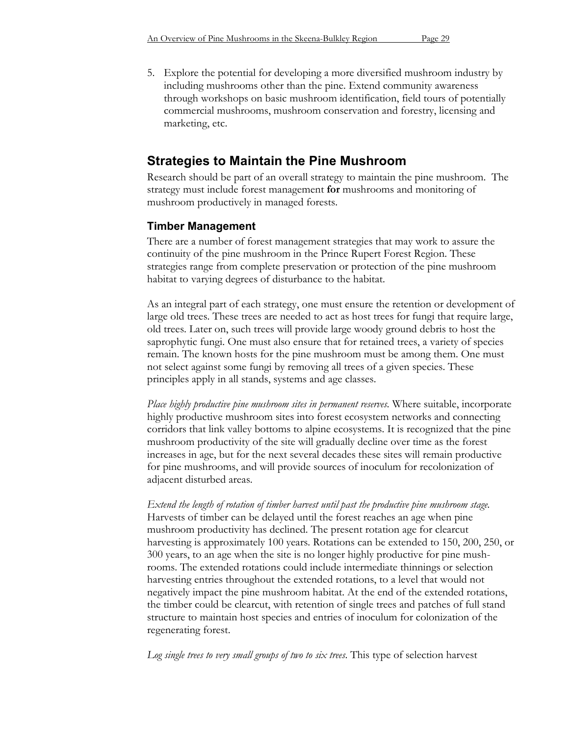5. Explore the potential for developing a more diversified mushroom industry by including mushrooms other than the pine. Extend community awareness through workshops on basic mushroom identification, field tours of potentially commercial mushrooms, mushroom conservation and forestry, licensing and marketing, etc.

# **Strategies to Maintain the Pine Mushroom**

Research should be part of an overall strategy to maintain the pine mushroom. The strategy must include forest management **for** mushrooms and monitoring of mushroom productively in managed forests.

# **Timber Management**

There are a number of forest management strategies that may work to assure the continuity of the pine mushroom in the Prince Rupert Forest Region. These strategies range from complete preservation or protection of the pine mushroom habitat to varying degrees of disturbance to the habitat.

As an integral part of each strategy, one must ensure the retention or development of large old trees. These trees are needed to act as host trees for fungi that require large, old trees. Later on, such trees will provide large woody ground debris to host the saprophytic fungi. One must also ensure that for retained trees, a variety of species remain. The known hosts for the pine mushroom must be among them. One must not select against some fungi by removing all trees of a given species. These principles apply in all stands, systems and age classes.

*Place highly productive pine mushroom sites in permanent reserves.* Where suitable, incorporate highly productive mushroom sites into forest ecosystem networks and connecting corridors that link valley bottoms to alpine ecosystems. It is recognized that the pine mushroom productivity of the site will gradually decline over time as the forest increases in age, but for the next several decades these sites will remain productive for pine mushrooms, and will provide sources of inoculum for recolonization of adjacent disturbed areas.

*Extend the length of rotation of timber harvest until past the productive pine mushroom stage.* Harvests of timber can be delayed until the forest reaches an age when pine mushroom productivity has declined. The present rotation age for clearcut harvesting is approximately 100 years. Rotations can be extended to 150, 200, 250, or 300 years, to an age when the site is no longer highly productive for pine mushrooms. The extended rotations could include intermediate thinnings or selection harvesting entries throughout the extended rotations, to a level that would not negatively impact the pine mushroom habitat. At the end of the extended rotations, the timber could be clearcut, with retention of single trees and patches of full stand structure to maintain host species and entries of inoculum for colonization of the regenerating forest.

*Log single trees to very small groups of two to six trees*. This type of selection harvest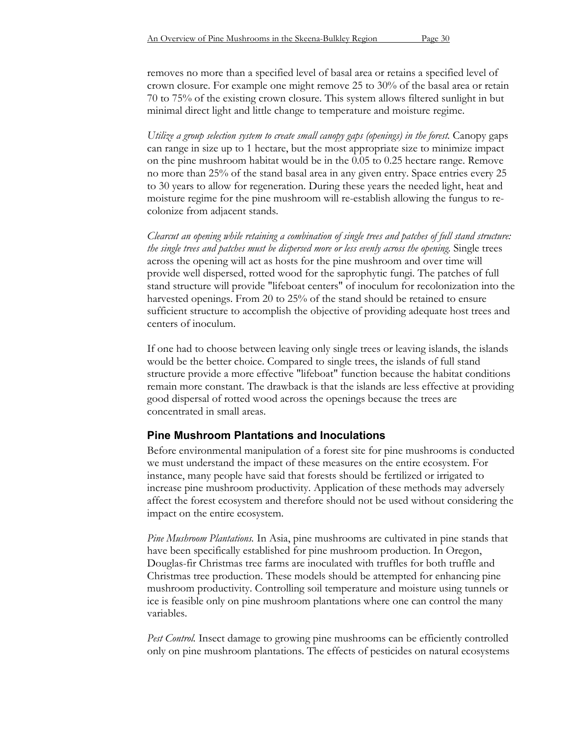removes no more than a specified level of basal area or retains a specified level of crown closure. For example one might remove 25 to 30% of the basal area or retain 70 to 75% of the existing crown closure. This system allows filtered sunlight in but minimal direct light and little change to temperature and moisture regime.

*Utilize a group selection system to create small canopy gaps (openings) in the forest.* Canopy gaps can range in size up to 1 hectare, but the most appropriate size to minimize impact on the pine mushroom habitat would be in the 0.05 to 0.25 hectare range. Remove no more than 25% of the stand basal area in any given entry. Space entries every 25 to 30 years to allow for regeneration. During these years the needed light, heat and moisture regime for the pine mushroom will re-establish allowing the fungus to recolonize from adjacent stands.

*Clearcut an opening while retaining a combination of single trees and patches of full stand structure: the single trees and patches must be dispersed more or less evenly across the opening.* Single trees across the opening will act as hosts for the pine mushroom and over time will provide well dispersed, rotted wood for the saprophytic fungi. The patches of full stand structure will provide "lifeboat centers" of inoculum for recolonization into the harvested openings. From 20 to 25% of the stand should be retained to ensure sufficient structure to accomplish the objective of providing adequate host trees and centers of inoculum.

If one had to choose between leaving only single trees or leaving islands, the islands would be the better choice. Compared to single trees, the islands of full stand structure provide a more effective "lifeboat" function because the habitat conditions remain more constant. The drawback is that the islands are less effective at providing good dispersal of rotted wood across the openings because the trees are concentrated in small areas.

## **Pine Mushroom Plantations and Inoculations**

Before environmental manipulation of a forest site for pine mushrooms is conducted we must understand the impact of these measures on the entire ecosystem. For instance, many people have said that forests should be fertilized or irrigated to increase pine mushroom productivity. Application of these methods may adversely affect the forest ecosystem and therefore should not be used without considering the impact on the entire ecosystem.

*Pine Mushroom Plantations.* In Asia, pine mushrooms are cultivated in pine stands that have been specifically established for pine mushroom production. In Oregon, Douglas-fir Christmas tree farms are inoculated with truffles for both truffle and Christmas tree production. These models should be attempted for enhancing pine mushroom productivity. Controlling soil temperature and moisture using tunnels or ice is feasible only on pine mushroom plantations where one can control the many variables.

Pest Control. Insect damage to growing pine mushrooms can be efficiently controlled only on pine mushroom plantations. The effects of pesticides on natural ecosystems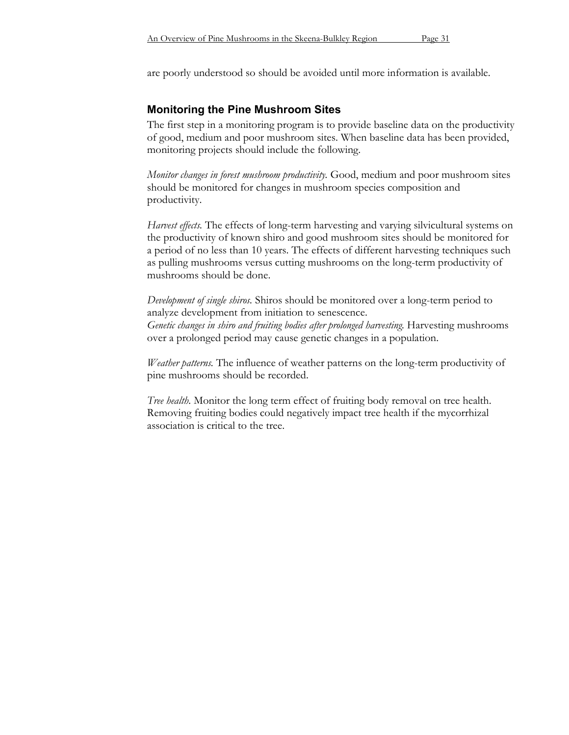are poorly understood so should be avoided until more information is available.

# **Monitoring the Pine Mushroom Sites**

The first step in a monitoring program is to provide baseline data on the productivity of good, medium and poor mushroom sites. When baseline data has been provided, monitoring projects should include the following.

*Monitor changes in forest mushroom productivity.* Good, medium and poor mushroom sites should be monitored for changes in mushroom species composition and productivity.

*Harvest effects.* The effects of long-term harvesting and varying silvicultural systems on the productivity of known shiro and good mushroom sites should be monitored for a period of no less than 10 years. The effects of different harvesting techniques such as pulling mushrooms versus cutting mushrooms on the long-term productivity of mushrooms should be done.

*Development of single shiros.* Shiros should be monitored over a long-term period to analyze development from initiation to senescence. *Genetic changes in shiro and fruiting bodies after prolonged harvesting.* Harvesting mushrooms over a prolonged period may cause genetic changes in a population.

*Weather patterns.* The influence of weather patterns on the long-term productivity of pine mushrooms should be recorded.

*Tree health.* Monitor the long term effect of fruiting body removal on tree health. Removing fruiting bodies could negatively impact tree health if the mycorrhizal association is critical to the tree.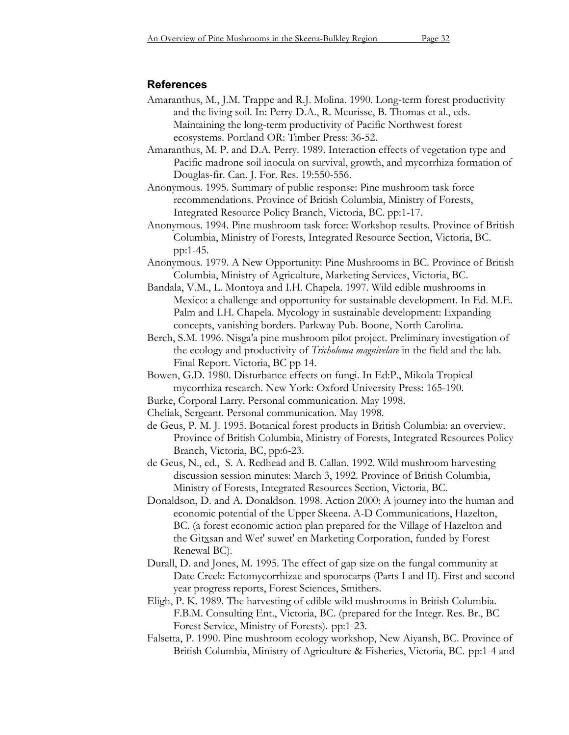## **References**

Amaranthus, M., J.M. Trappe and R.J. Molina. 1990. Long-term forest productivity and the living soil. In: Perry D.A., R. Meurisse, B. Thomas et al., eds. Maintaining the long-term productivity of Pacific Northwest forest ecosystems. Portland OR: Timber Press: 36-52.

Amaranthus, M. P. and D.A. Perry. 1989. Interaction effects of vegetation type and Pacific madrone soil inocula on survival, growth, and mycorrhiza formation of Douglas-fir. Can. J. For. Res. 19:550-556.

Anonymous. 1995. Summary of public response: Pine mushroom task force recommendations. Province of British Columbia, Ministry of Forests, Integrated Resource Policy Branch, Victoria, BC. pp:1-17.

Anonymous. 1994. Pine mushroom task force: Workshop results. Province of British Columbia, Ministry of Forests, Integrated Resource Section, Victoria, BC. pp:1-45.

Anonymous. 1979. A New Opportunity: Pine Mushrooms in BC. Province of British Columbia, Ministry of Agriculture, Marketing Services, Victoria, BC.

Bandala, V.M., L. Montoya and I.H. Chapela. 1997. Wild edible mushrooms in Mexico: a challenge and opportunity for sustainable development. In Ed. M.E. Palm and I.H. Chapela. Mycology in sustainable development: Expanding concepts, vanishing borders. Parkway Pub. Boone, North Carolina.

Berch, S.M. 1996. Nisga'a pine mushroom pilot project. Preliminary investigation of the ecology and productivity of *Tricholoma magnivelare* in the field and the lab. Final Report. Victoria, BC pp 14.

Bowen, G.D. 1980. Disturbance effects on fungi. In Ed:P., Mikola Tropical mycorrhiza research. New York: Oxford University Press: 165-190.

Cheliak, Sergeant. Personal communication. May 1998.

de Geus, P. M. J. 1995. Botanical forest products in British Columbia: an overview. Province of British Columbia, Ministry of Forests, Integrated Resources Policy Branch, Victoria, BC, pp:6-23.

- de Geus, N., ed., S. A. Redhead and B. Callan. 1992. Wild mushroom harvesting discussion session minutes: March 3, 1992. Province of British Columbia, Ministry of Forests, Integrated Resources Section, Victoria, BC.
- Donaldson, D. and A. Donaldson. 1998. Action 2000: A journey into the human and economic potential of the Upper Skeena. A-D Communications, Hazelton, BC. (a forest economic action plan prepared for the Village of Hazelton and the Gitxsan and Wet' suwet' en Marketing Corporation, funded by Forest Renewal BC).
- Durall, D. and Jones, M. 1995. The effect of gap size on the fungal community at Date Creek: Ectomycorrhizae and sporocarps (Parts I and II). First and second year progress reports, Forest Sciences, Smithers.
- Eligh, P. K. 1989. The harvesting of edible wild mushrooms in British Columbia. F.B.M. Consulting Ent., Victoria, BC. (prepared for the Integr. Res. Br., BC Forest Service, Ministry of Forests). pp:1-23.
- Falsetta, P. 1990. Pine mushroom ecology workshop, New Aiyansh, BC. Province of British Columbia, Ministry of Agriculture & Fisheries, Victoria, BC. pp:1-4 and

Burke, Corporal Larry. Personal communication. May 1998.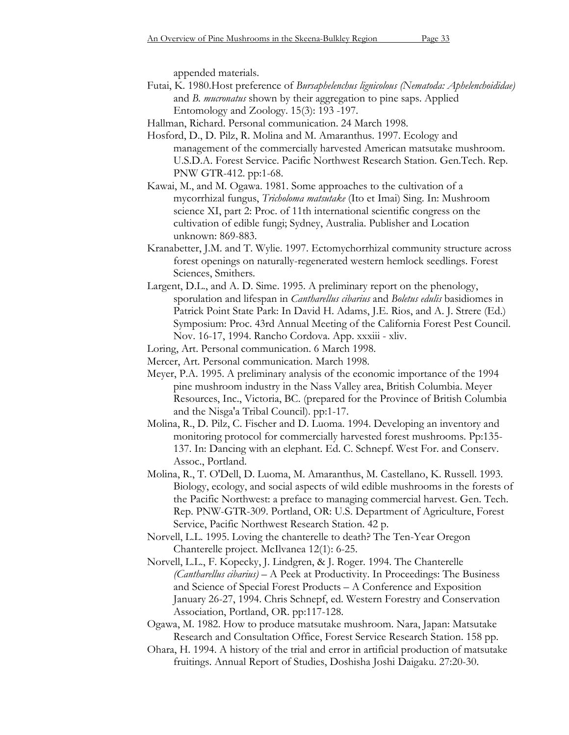appended materials.

- Futai, K. 1980.Host preference of *Bursaphelenchus lignicolous (Nematoda: Aphelenchoididae)* and *B. mucronatus* shown by their aggregation to pine saps. Applied Entomology and Zoology. 15(3): 193 -197.
- Hallman, Richard. Personal communication. 24 March 1998.
- Hosford, D., D. Pilz, R. Molina and M. Amaranthus. 1997. Ecology and management of the commercially harvested American matsutake mushroom. U.S.D.A. Forest Service. Pacific Northwest Research Station. Gen.Tech. Rep. PNW GTR-412. pp:1-68.
- Kawai, M., and M. Ogawa. 1981. Some approaches to the cultivation of a mycorrhizal fungus, *Tricholoma matsutake* (Ito et Imai) Sing. In: Mushroom science XI, part 2: Proc. of 11th international scientific congress on the cultivation of edible fungi; Sydney, Australia. Publisher and Location unknown: 869-883.
- Kranabetter, J.M. and T. Wylie. 1997. Ectomychorrhizal community structure across forest openings on naturally-regenerated western hemlock seedlings. Forest Sciences, Smithers.
- Largent, D.L., and A. D. Sime. 1995. A preliminary report on the phenology, sporulation and lifespan in *Cantharellus cibarius* and *Boletus edulis* basidiomes in Patrick Point State Park: In David H. Adams, J.E. Rios, and A. J. Strere (Ed.) Symposium: Proc. 43rd Annual Meeting of the California Forest Pest Council. Nov. 16-17, 1994. Rancho Cordova. App. xxxiii - xliv.
- Loring, Art. Personal communication. 6 March 1998.
- Mercer, Art. Personal communication. March 1998.
- Meyer, P.A. 1995. A preliminary analysis of the economic importance of the 1994 pine mushroom industry in the Nass Valley area, British Columbia. Meyer Resources, Inc., Victoria, BC. (prepared for the Province of British Columbia and the Nisga'a Tribal Council). pp:1-17.
- Molina, R., D. Pilz, C. Fischer and D. Luoma. 1994. Developing an inventory and monitoring protocol for commercially harvested forest mushrooms. Pp:135- 137. In: Dancing with an elephant. Ed. C. Schnepf. West For. and Conserv. Assoc., Portland.
- Molina, R., T. O'Dell, D. Luoma, M. Amaranthus, M. Castellano, K. Russell. 1993. Biology, ecology, and social aspects of wild edible mushrooms in the forests of the Pacific Northwest: a preface to managing commercial harvest. Gen. Tech. Rep. PNW-GTR-309. Portland, OR: U.S. Department of Agriculture, Forest Service, Pacific Northwest Research Station. 42 p.
- Norvell, L.L. 1995. Loving the chanterelle to death? The Ten-Year Oregon Chanterelle project. McIlvanea 12(1): 6-25.
- Norvell, L.L., F. Kopecky, J. Lindgren, & J. Roger. 1994. The Chanterelle *(Cantharellus cibarius)* – A Peek at Productivity. In Proceedings: The Business and Science of Special Forest Products – A Conference and Exposition January 26-27, 1994. Chris Schnepf, ed. Western Forestry and Conservation Association, Portland, OR. pp:117-128.
- Ogawa, M. 1982. How to produce matsutake mushroom. Nara, Japan: Matsutake Research and Consultation Office, Forest Service Research Station. 158 pp.
- Ohara, H. 1994. A history of the trial and error in artificial production of matsutake fruitings. Annual Report of Studies, Doshisha Joshi Daigaku. 27:20-30.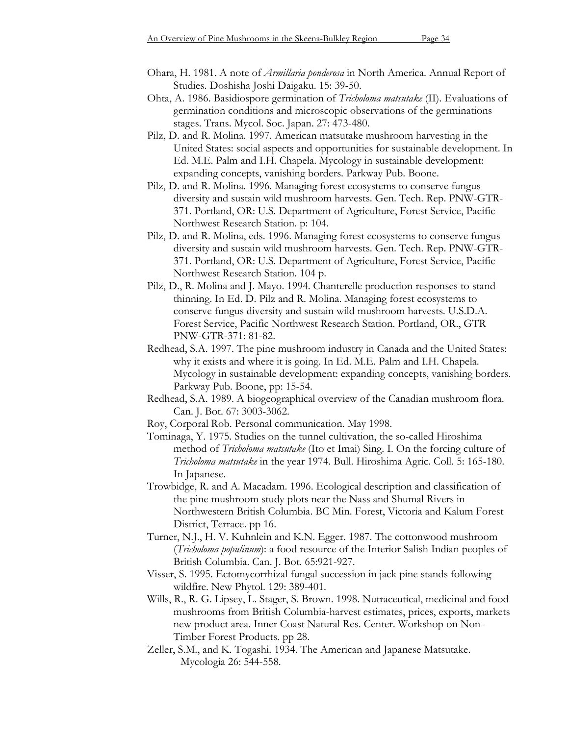- Ohara, H. 1981. A note of *Armillaria ponderosa* in North America. Annual Report of Studies. Doshisha Joshi Daigaku. 15: 39-50.
- Ohta, A. 1986. Basidiospore germination of *Tricholoma matsutake* (II). Evaluations of germination conditions and microscopic observations of the germinations stages. Trans. Mycol. Soc. Japan. 27: 473-480.
- Pilz, D. and R. Molina. 1997. American matsutake mushroom harvesting in the United States: social aspects and opportunities for sustainable development. In Ed. M.E. Palm and I.H. Chapela. Mycology in sustainable development: expanding concepts, vanishing borders. Parkway Pub. Boone.
- Pilz, D. and R. Molina. 1996. Managing forest ecosystems to conserve fungus diversity and sustain wild mushroom harvests. Gen. Tech. Rep. PNW-GTR-371. Portland, OR: U.S. Department of Agriculture, Forest Service, Pacific Northwest Research Station. p: 104.
- Pilz, D. and R. Molina, eds. 1996. Managing forest ecosystems to conserve fungus diversity and sustain wild mushroom harvests. Gen. Tech. Rep. PNW-GTR-371. Portland, OR: U.S. Department of Agriculture, Forest Service, Pacific Northwest Research Station. 104 p.
- Pilz, D., R. Molina and J. Mayo. 1994. Chanterelle production responses to stand thinning. In Ed. D. Pilz and R. Molina. Managing forest ecosystems to conserve fungus diversity and sustain wild mushroom harvests. U.S.D.A. Forest Service, Pacific Northwest Research Station. Portland, OR., GTR PNW-GTR-371: 81-82.
- Redhead, S.A. 1997. The pine mushroom industry in Canada and the United States: why it exists and where it is going. In Ed. M.E. Palm and I.H. Chapela. Mycology in sustainable development: expanding concepts, vanishing borders. Parkway Pub. Boone, pp: 15-54.
- Redhead, S.A. 1989. A biogeographical overview of the Canadian mushroom flora. Can. J. Bot. 67: 3003-3062.
- Roy, Corporal Rob. Personal communication. May 1998.
- Tominaga, Y. 1975. Studies on the tunnel cultivation, the so-called Hiroshima method of *Tricholoma matsutake* (Ito et Imai) Sing. I. On the forcing culture of *Tricholoma matsutake* in the year 1974. Bull. Hiroshima Agric. Coll. 5: 165-180. In Japanese.
- Trowbidge, R. and A. Macadam. 1996. Ecological description and classification of the pine mushroom study plots near the Nass and Shumal Rivers in Northwestern British Columbia. BC Min. Forest, Victoria and Kalum Forest District, Terrace. pp 16.
- Turner, N.J., H. V. Kuhnlein and K.N. Egger. 1987. The cottonwood mushroom (*Tricholoma populinum*): a food resource of the Interior Salish Indian peoples of British Columbia. Can. J. Bot. 65:921-927.
- Visser, S. 1995. Ectomycorrhizal fungal succession in jack pine stands following wildfire. New Phytol. 129: 389-401.
- Wills, R., R. G. Lipsey, L. Stager, S. Brown. 1998. Nutraceutical, medicinal and food mushrooms from British Columbia-harvest estimates, prices, exports, markets new product area. Inner Coast Natural Res. Center. Workshop on Non-Timber Forest Products. pp 28.
- Zeller, S.M., and K. Togashi. 1934. The American and Japanese Matsutake. Mycologia 26: 544-558.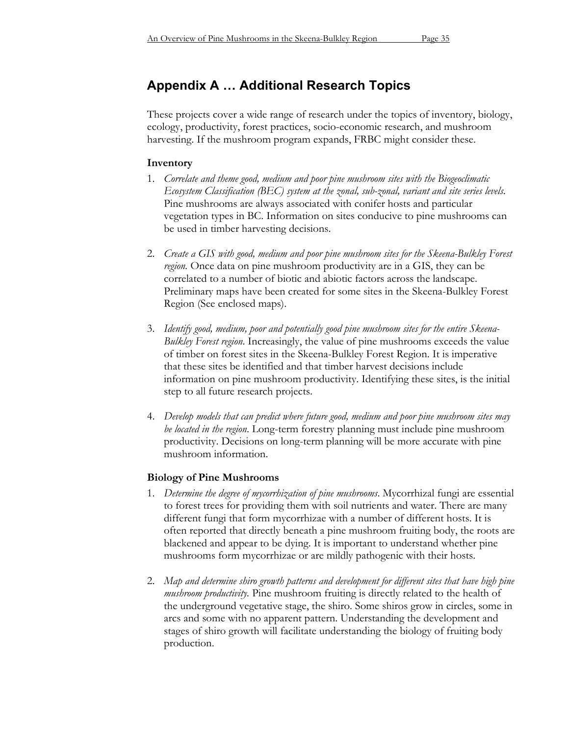# **Appendix A … Additional Research Topics**

These projects cover a wide range of research under the topics of inventory, biology, ecology, productivity, forest practices, socio-economic research, and mushroom harvesting. If the mushroom program expands, FRBC might consider these.

## **Inventory**

- 1. *Correlate and theme good, medium and poor pine mushroom sites with the Biogeoclimatic Ecosystem Classification (BEC) system at the zonal, sub-zonal, variant and site series levels*. Pine mushrooms are always associated with conifer hosts and particular vegetation types in BC. Information on sites conducive to pine mushrooms can be used in timber harvesting decisions.
- 2. *Create a GIS with good, medium and poor pine mushroom sites for the Skeena-Bulkley Forest region.* Once data on pine mushroom productivity are in a GIS, they can be correlated to a number of biotic and abiotic factors across the landscape. Preliminary maps have been created for some sites in the Skeena-Bulkley Forest Region (See enclosed maps).
- 3. *Identify good, medium, poor and potentially good pine mushroom sites for the entire Skeena-Bulkley Forest region*. Increasingly, the value of pine mushrooms exceeds the value of timber on forest sites in the Skeena-Bulkley Forest Region. It is imperative that these sites be identified and that timber harvest decisions include information on pine mushroom productivity. Identifying these sites, is the initial step to all future research projects.
- 4. *Develop models that can predict where future good, medium and poor pine mushroom sites may be located in the region*. Long-term forestry planning must include pine mushroom productivity. Decisions on long-term planning will be more accurate with pine mushroom information.

# **Biology of Pine Mushrooms**

- 1. *Determine the degree of mycorrhization of pine mushrooms*. Mycorrhizal fungi are essential to forest trees for providing them with soil nutrients and water. There are many different fungi that form mycorrhizae with a number of different hosts. It is often reported that directly beneath a pine mushroom fruiting body, the roots are blackened and appear to be dying. It is important to understand whether pine mushrooms form mycorrhizae or are mildly pathogenic with their hosts.
- 2. *Map and determine shiro growth patterns and development for different sites that have high pine mushroom productivity.* Pine mushroom fruiting is directly related to the health of the underground vegetative stage, the shiro. Some shiros grow in circles, some in arcs and some with no apparent pattern. Understanding the development and stages of shiro growth will facilitate understanding the biology of fruiting body production.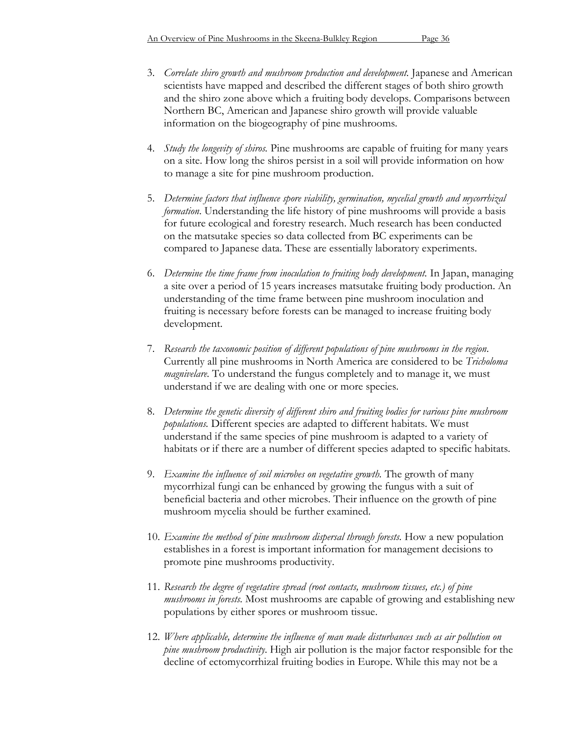- 3. *Correlate shiro growth and mushroom production and development.* Japanese and American scientists have mapped and described the different stages of both shiro growth and the shiro zone above which a fruiting body develops. Comparisons between Northern BC, American and Japanese shiro growth will provide valuable information on the biogeography of pine mushrooms.
- 4. *Study the longevity of shiros.* Pine mushrooms are capable of fruiting for many years on a site. How long the shiros persist in a soil will provide information on how to manage a site for pine mushroom production.
- 5. *Determine factors that influence spore viability, germination, mycelial growth and mycorrhizal formation*. Understanding the life history of pine mushrooms will provide a basis for future ecological and forestry research. Much research has been conducted on the matsutake species so data collected from BC experiments can be compared to Japanese data. These are essentially laboratory experiments.
- 6. *Determine the time frame from inoculation to fruiting body development.* In Japan, managing a site over a period of 15 years increases matsutake fruiting body production. An understanding of the time frame between pine mushroom inoculation and fruiting is necessary before forests can be managed to increase fruiting body development.
- 7. *Research the taxonomic position of different populations of pine mushrooms in the region*. Currently all pine mushrooms in North America are considered to be *Tricholoma magnivelare*. To understand the fungus completely and to manage it, we must understand if we are dealing with one or more species.
- 8. *Determine the genetic diversity of different shiro and fruiting bodies for various pine mushroom populations.* Different species are adapted to different habitats. We must understand if the same species of pine mushroom is adapted to a variety of habitats or if there are a number of different species adapted to specific habitats.
- 9. *Examine the influence of soil microbes on vegetative growth.* The growth of many mycorrhizal fungi can be enhanced by growing the fungus with a suit of beneficial bacteria and other microbes. Their influence on the growth of pine mushroom mycelia should be further examined.
- 10. *Examine the method of pine mushroom dispersal through forests.* How a new population establishes in a forest is important information for management decisions to promote pine mushrooms productivity.
- 11. *Research the degree of vegetative spread (root contacts, mushroom tissues, etc.) of pine mushrooms in forests.* Most mushrooms are capable of growing and establishing new populations by either spores or mushroom tissue.
- 12. *Where applicable, determine the influence of man made disturbances such as air pollution on pine mushroom productivity*. High air pollution is the major factor responsible for the decline of ectomycorrhizal fruiting bodies in Europe. While this may not be a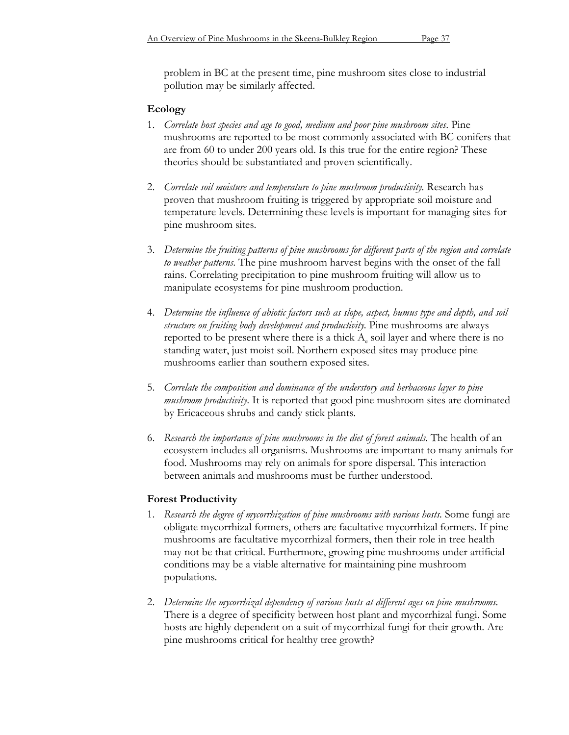problem in BC at the present time, pine mushroom sites close to industrial pollution may be similarly affected.

#### **Ecology**

- 1. *Correlate host species and age to good, medium and poor pine mushroom sites*. Pine mushrooms are reported to be most commonly associated with BC conifers that are from 60 to under 200 years old. Is this true for the entire region? These theories should be substantiated and proven scientifically.
- 2. *Correlate soil moisture and temperature to pine mushroom productivity.* Research has proven that mushroom fruiting is triggered by appropriate soil moisture and temperature levels. Determining these levels is important for managing sites for pine mushroom sites.
- 3. *Determine the fruiting patterns of pine mushrooms for different parts of the region and correlate to weather patterns*. The pine mushroom harvest begins with the onset of the fall rains. Correlating precipitation to pine mushroom fruiting will allow us to manipulate ecosystems for pine mushroom production.
- 4. *Determine the influence of abiotic factors such as slope, aspect, humus type and depth, and soil structure on fruiting body development and productivity.* Pine mushrooms are always reported to be present where there is a thick  $A<sub>e</sub>$  soil layer and where there is no standing water, just moist soil. Northern exposed sites may produce pine mushrooms earlier than southern exposed sites.
- 5. *Correlate the composition and dominance of the understory and herbaceous layer to pine mushroom productivity*. It is reported that good pine mushroom sites are dominated by Ericaceous shrubs and candy stick plants.
- 6. *Research the importance of pine mushrooms in the diet of forest animals*. The health of an ecosystem includes all organisms. Mushrooms are important to many animals for food. Mushrooms may rely on animals for spore dispersal. This interaction between animals and mushrooms must be further understood.

#### **Forest Productivity**

- 1. *Research the degree of mycorrhization of pine mushrooms with various hosts.* Some fungi are obligate mycorrhizal formers, others are facultative mycorrhizal formers. If pine mushrooms are facultative mycorrhizal formers, then their role in tree health may not be that critical. Furthermore, growing pine mushrooms under artificial conditions may be a viable alternative for maintaining pine mushroom populations.
- 2. *Determine the mycorrhizal dependency of various hosts at different ages on pine mushrooms.* There is a degree of specificity between host plant and mycorrhizal fungi. Some hosts are highly dependent on a suit of mycorrhizal fungi for their growth. Are pine mushrooms critical for healthy tree growth?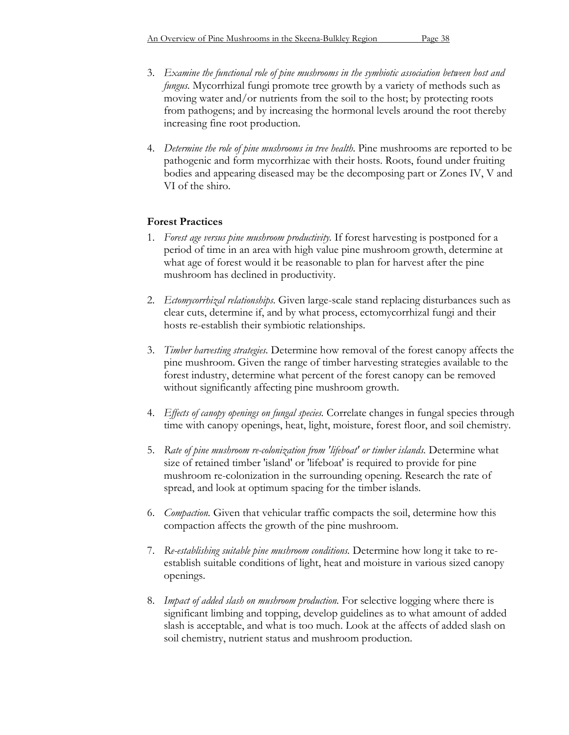- 3. *Examine the functional role of pine mushrooms in the symbiotic association between host and fungus.* Mycorrhizal fungi promote tree growth by a variety of methods such as moving water and/or nutrients from the soil to the host; by protecting roots from pathogens; and by increasing the hormonal levels around the root thereby increasing fine root production.
- 4. *Determine the role of pine mushrooms in tree health.* Pine mushrooms are reported to be pathogenic and form mycorrhizae with their hosts. Roots, found under fruiting bodies and appearing diseased may be the decomposing part or Zones IV, V and VI of the shiro.

## **Forest Practices**

- 1. *Forest age versus pine mushroom productivity.* If forest harvesting is postponed for a period of time in an area with high value pine mushroom growth, determine at what age of forest would it be reasonable to plan for harvest after the pine mushroom has declined in productivity.
- 2. *Ectomycorrhizal relationships.* Given large-scale stand replacing disturbances such as clear cuts, determine if, and by what process, ectomycorrhizal fungi and their hosts re-establish their symbiotic relationships.
- 3. *Timber harvesting strategies.* Determine how removal of the forest canopy affects the pine mushroom. Given the range of timber harvesting strategies available to the forest industry, determine what percent of the forest canopy can be removed without significantly affecting pine mushroom growth.
- 4. *Effects of canopy openings on fungal species.* Correlate changes in fungal species through time with canopy openings, heat, light, moisture, forest floor, and soil chemistry.
- 5. *Rate of pine mushroom re-colonization from 'lifeboat' or timber islands.* Determine what size of retained timber 'island' or 'lifeboat' is required to provide for pine mushroom re-colonization in the surrounding opening. Research the rate of spread, and look at optimum spacing for the timber islands.
- 6. *Compaction.* Given that vehicular traffic compacts the soil, determine how this compaction affects the growth of the pine mushroom.
- 7. *Re-establishing suitable pine mushroom conditions.* Determine how long it take to reestablish suitable conditions of light, heat and moisture in various sized canopy openings.
- 8. *Impact of added slash on mushroom production.* For selective logging where there is significant limbing and topping, develop guidelines as to what amount of added slash is acceptable, and what is too much. Look at the affects of added slash on soil chemistry, nutrient status and mushroom production.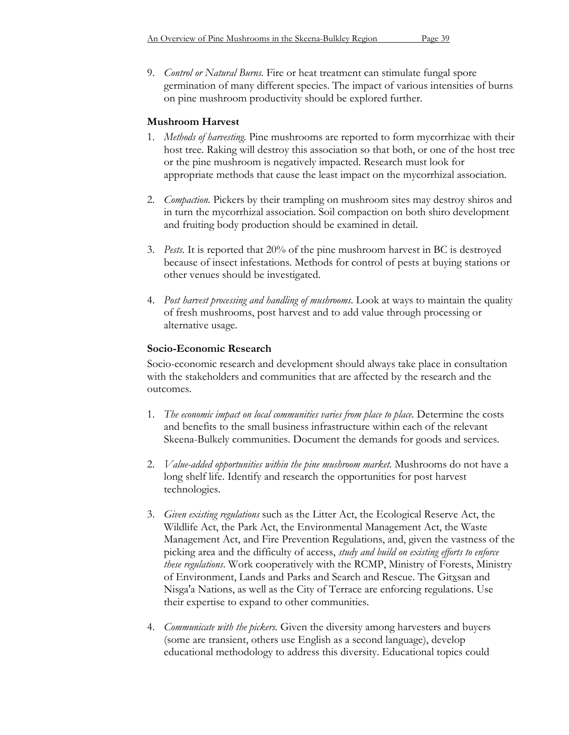9. *Control or Natural Burns.* Fire or heat treatment can stimulate fungal spore germination of many different species. The impact of various intensities of burns on pine mushroom productivity should be explored further.

### **Mushroom Harvest**

- 1. *Methods of harvesting.* Pine mushrooms are reported to form mycorrhizae with their host tree. Raking will destroy this association so that both, or one of the host tree or the pine mushroom is negatively impacted. Research must look for appropriate methods that cause the least impact on the mycorrhizal association.
- 2. *Compaction.* Pickers by their trampling on mushroom sites may destroy shiros and in turn the mycorrhizal association. Soil compaction on both shiro development and fruiting body production should be examined in detail.
- 3. *Pests.* It is reported that 20% of the pine mushroom harvest in BC is destroyed because of insect infestations. Methods for control of pests at buying stations or other venues should be investigated.
- 4. *Post harvest processing and handling of mushrooms*. Look at ways to maintain the quality of fresh mushrooms, post harvest and to add value through processing or alternative usage.

### **Socio-Economic Research**

Socio-economic research and development should always take place in consultation with the stakeholders and communities that are affected by the research and the outcomes.

- 1. *The economic impact on local communities varies from place to place.* Determine the costs and benefits to the small business infrastructure within each of the relevant Skeena-Bulkely communities. Document the demands for goods and services.
- 2. *Value-added opportunities within the pine mushroom market.* Mushrooms do not have a long shelf life. Identify and research the opportunities for post harvest technologies.
- 3. *Given existing regulations* such as the Litter Act, the Ecological Reserve Act, the Wildlife Act, the Park Act, the Environmental Management Act, the Waste Management Act, and Fire Prevention Regulations, and, given the vastness of the picking area and the difficulty of access, *study and build on existing efforts to enforce these regulations*. Work cooperatively with the RCMP, Ministry of Forests, Ministry of Environment, Lands and Parks and Search and Rescue. The Gitxsan and Nisga'a Nations, as well as the City of Terrace are enforcing regulations. Use their expertise to expand to other communities.
- 4. *Communicate with the pickers.* Given the diversity among harvesters and buyers (some are transient, others use English as a second language), develop educational methodology to address this diversity. Educational topics could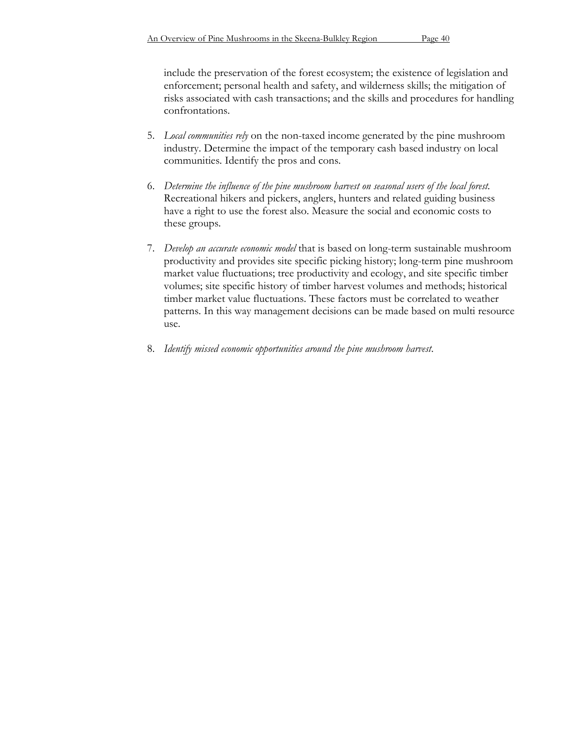include the preservation of the forest ecosystem; the existence of legislation and enforcement; personal health and safety, and wilderness skills; the mitigation of risks associated with cash transactions; and the skills and procedures for handling confrontations.

- 5. *Local communities rely* on the non-taxed income generated by the pine mushroom industry. Determine the impact of the temporary cash based industry on local communities. Identify the pros and cons.
- 6. *Determine the influence of the pine mushroom harvest on seasonal users of the local forest.* Recreational hikers and pickers, anglers, hunters and related guiding business have a right to use the forest also. Measure the social and economic costs to these groups.
- 7. *Develop an accurate economic model* that is based on long-term sustainable mushroom productivity and provides site specific picking history; long-term pine mushroom market value fluctuations; tree productivity and ecology, and site specific timber volumes; site specific history of timber harvest volumes and methods; historical timber market value fluctuations. These factors must be correlated to weather patterns. In this way management decisions can be made based on multi resource use.
- 8. *Identify missed economic opportunities around the pine mushroom harvest*.